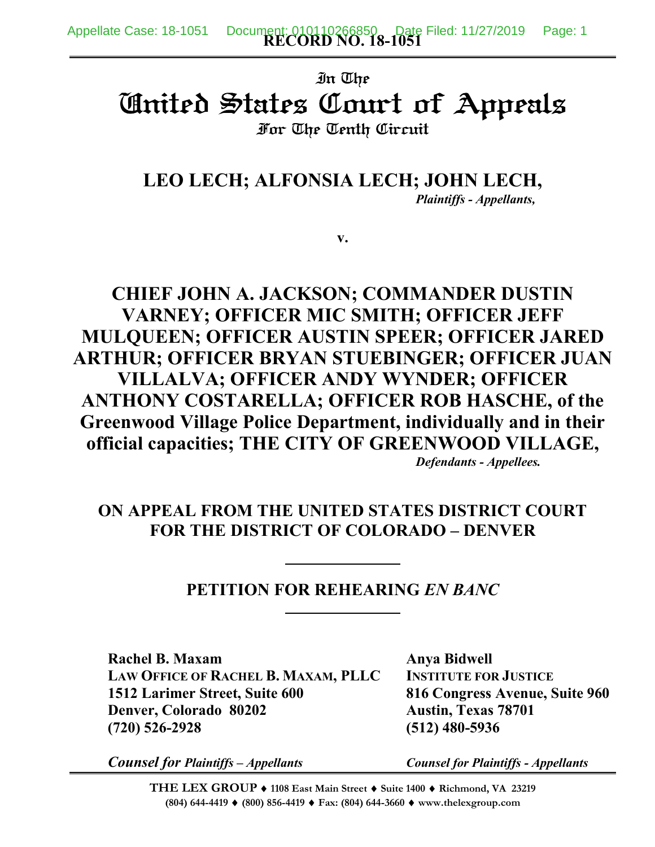# In The United States Court of Appeals For The Tenth Circuit

**LEO LECH; ALFONSIA LECH; JOHN LECH,** *Plaintiffs - Appellants,*

**v.**

**CHIEF JOHN A. JACKSON; COMMANDER DUSTIN VARNEY; OFFICER MIC SMITH; OFFICER JEFF MULQUEEN; OFFICER AUSTIN SPEER; OFFICER JARED ARTHUR; OFFICER BRYAN STUEBINGER; OFFICER JUAN VILLALVA; OFFICER ANDY WYNDER; OFFICER ANTHONY COSTARELLA; OFFICER ROB HASCHE, of the Greenwood Village Police Department, individually and in their official capacities; THE CITY OF GREENWOOD VILLAGE,** *Defendants - Appellees.*

## **ON APPEAL FROM THE UNITED STATES DISTRICT COURT FOR THE DISTRICT OF COLORADO – DENVER**

### **PETITION FOR REHEARING** *EN BANC*

**Rachel B. Maxam Anya Bidwell LAW OFFICE OF RACHEL B. MAXAM, PLLC INSTITUTE FOR JUSTICE 1512 Larimer Street, Suite 600 816 Congress Avenue, Suite 960 Denver, Colorado 80202 Austin, Texas 78701 (720) 526-2928 (512) 480-5936**

*Counsel for Plaintiffs – Appellants Counsel for Plaintiffs - Appellants*

**THE LEX GROUP 1108 East Main Street Suite 1400 Richmond, VA 23219 (804) 644-4419 (800) 856-4419 Fax: (804) 644-3660 www.thelexgroup.com**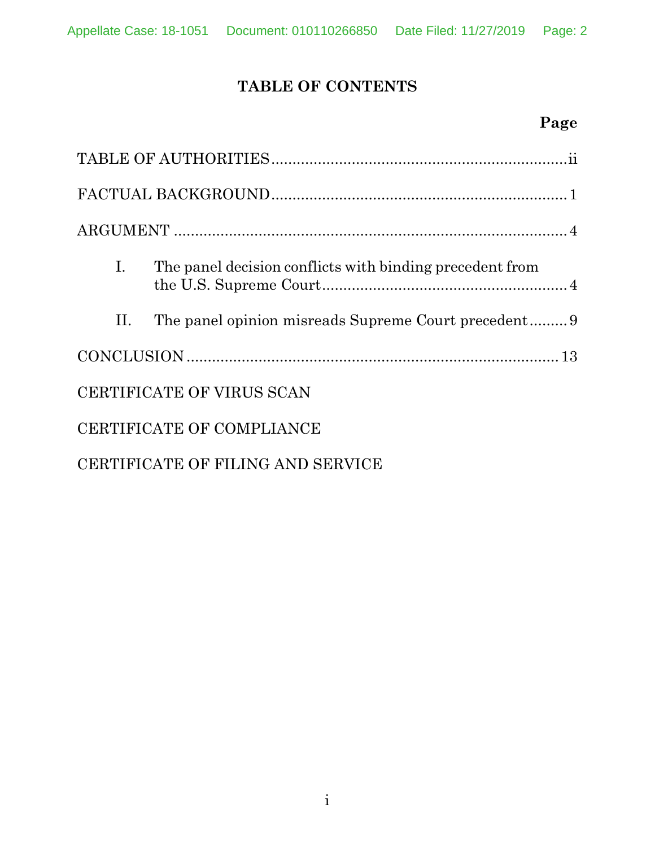## **TABLE OF CONTENTS**

## **Page**

| Ι.                                | The panel decision conflicts with binding precedent from |  |
|-----------------------------------|----------------------------------------------------------|--|
| П.                                |                                                          |  |
|                                   |                                                          |  |
| CERTIFICATE OF VIRUS SCAN         |                                                          |  |
| CERTIFICATE OF COMPLIANCE         |                                                          |  |
| CERTIFICATE OF FILING AND SERVICE |                                                          |  |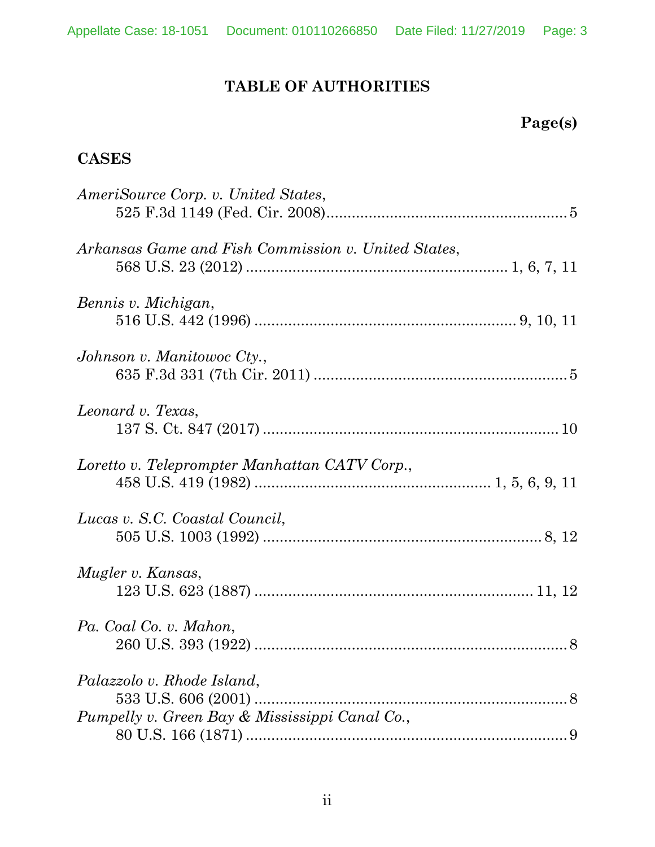## **TABLE OF AUTHORITIES**

## **Page(s)**

### **CASES**

| AmeriSource Corp. v. United States,                 |  |
|-----------------------------------------------------|--|
|                                                     |  |
| Arkansas Game and Fish Commission v. United States, |  |
|                                                     |  |
| Bennis v. Michigan,                                 |  |
|                                                     |  |
| Johnson v. Manitowoc Cty.,                          |  |
|                                                     |  |
| Leonard v. Texas,                                   |  |
|                                                     |  |
| Loretto v. Teleprompter Manhattan CATV Corp.,       |  |
|                                                     |  |
| Lucas v. S.C. Coastal Council,                      |  |
|                                                     |  |
| Mugler v. Kansas,                                   |  |
|                                                     |  |
| Pa. Coal Co. v. Mahon,                              |  |
|                                                     |  |
| Palazzolo v. Rhode Island,                          |  |
|                                                     |  |
| Pumpelly v. Green Bay & Mississippi Canal Co.,      |  |
|                                                     |  |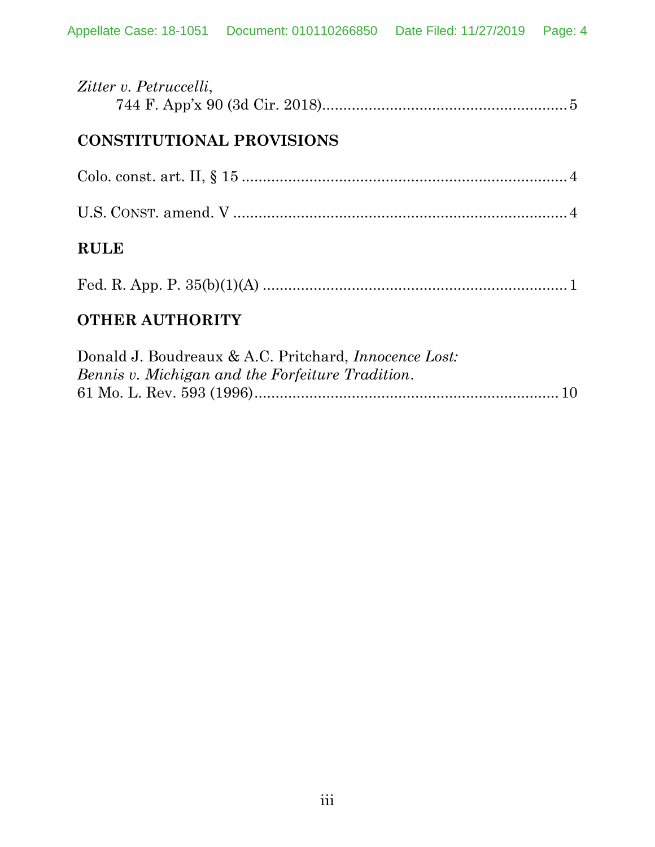| Zitter v. Petruccelli,                                                                                            |
|-------------------------------------------------------------------------------------------------------------------|
| <b>CONSTITUTIONAL PROVISIONS</b>                                                                                  |
|                                                                                                                   |
|                                                                                                                   |
| <b>RULE</b>                                                                                                       |
|                                                                                                                   |
| <b>OTHER AUTHORITY</b>                                                                                            |
| Donald J. Boudreaux & A.C. Pritchard, <i>Innocence Lost</i> :<br>Bennis v. Michigan and the Forfeiture Tradition. |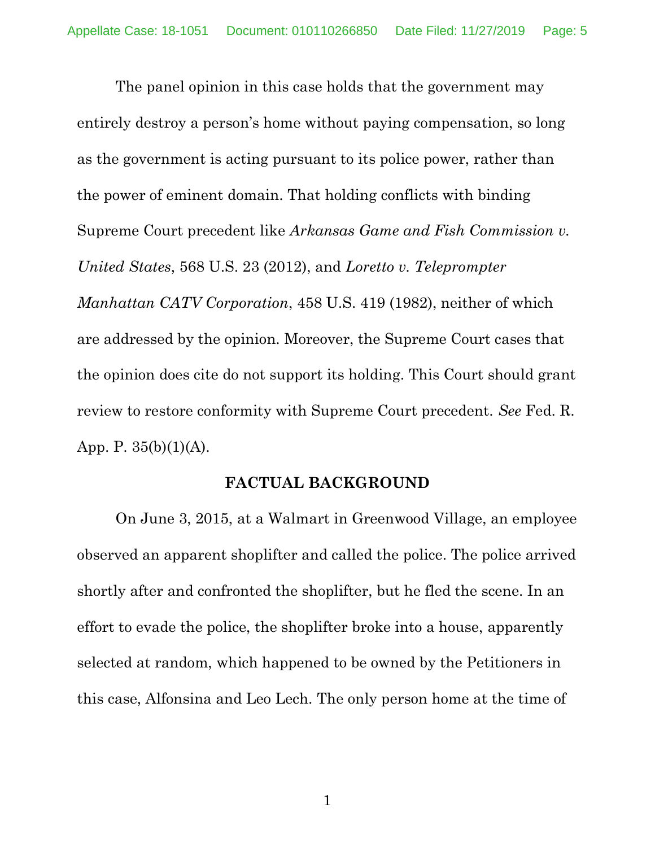The panel opinion in this case holds that the government may entirely destroy a person's home without paying compensation, so long as the government is acting pursuant to its police power, rather than the power of eminent domain. That holding conflicts with binding Supreme Court precedent like *Arkansas Game and Fish Commission v. United States*, 568 U.S. 23 (2012), and *Loretto v. Teleprompter Manhattan CATV Corporation*, 458 U.S. 419 (1982), neither of which are addressed by the opinion. Moreover, the Supreme Court cases that the opinion does cite do not support its holding. This Court should grant review to restore conformity with Supreme Court precedent. *See* Fed. R. App. P. 35(b)(1)(A).

#### **FACTUAL BACKGROUND**

On June 3, 2015, at a Walmart in Greenwood Village, an employee observed an apparent shoplifter and called the police. The police arrived shortly after and confronted the shoplifter, but he fled the scene. In an effort to evade the police, the shoplifter broke into a house, apparently selected at random, which happened to be owned by the Petitioners in this case, Alfonsina and Leo Lech. The only person home at the time of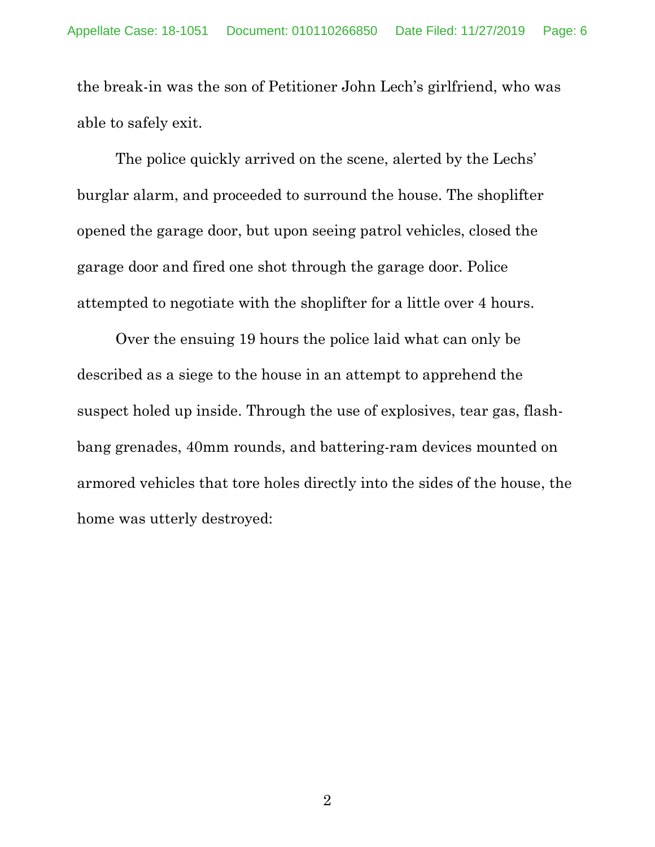the break-in was the son of Petitioner John Lech's girlfriend, who was able to safely exit.

The police quickly arrived on the scene, alerted by the Lechs' burglar alarm, and proceeded to surround the house. The shoplifter opened the garage door, but upon seeing patrol vehicles, closed the garage door and fired one shot through the garage door. Police attempted to negotiate with the shoplifter for a little over 4 hours.

Over the ensuing 19 hours the police laid what can only be described as a siege to the house in an attempt to apprehend the suspect holed up inside. Through the use of explosives, tear gas, flashbang grenades, 40mm rounds, and battering-ram devices mounted on armored vehicles that tore holes directly into the sides of the house, the home was utterly destroyed: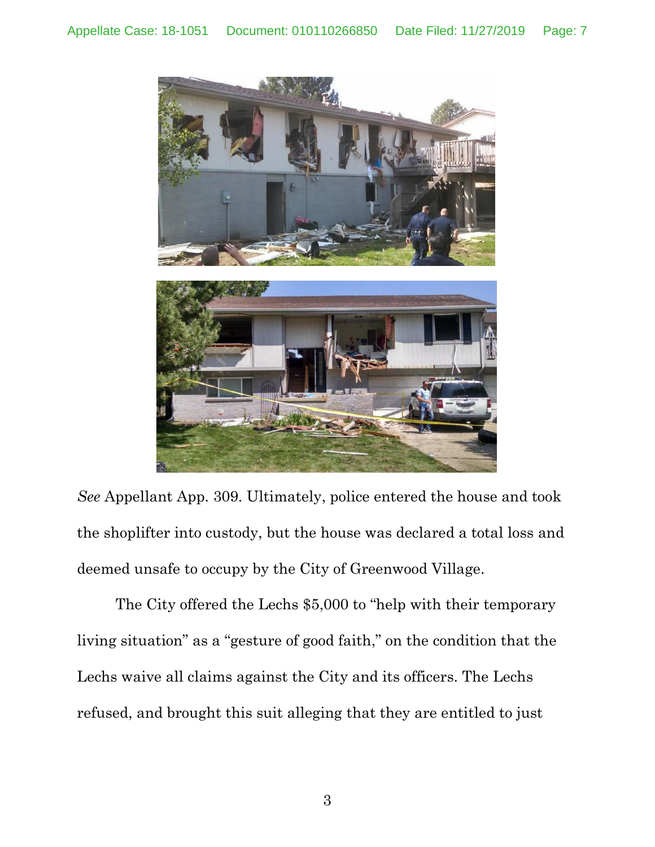

*See* Appellant App. 309. Ultimately, police entered the house and took the shoplifter into custody, but the house was declared a total loss and deemed unsafe to occupy by the City of Greenwood Village.

The City offered the Lechs \$5,000 to "help with their temporary living situation" as a "gesture of good faith," on the condition that the Lechs waive all claims against the City and its officers. The Lechs refused, and brought this suit alleging that they are entitled to just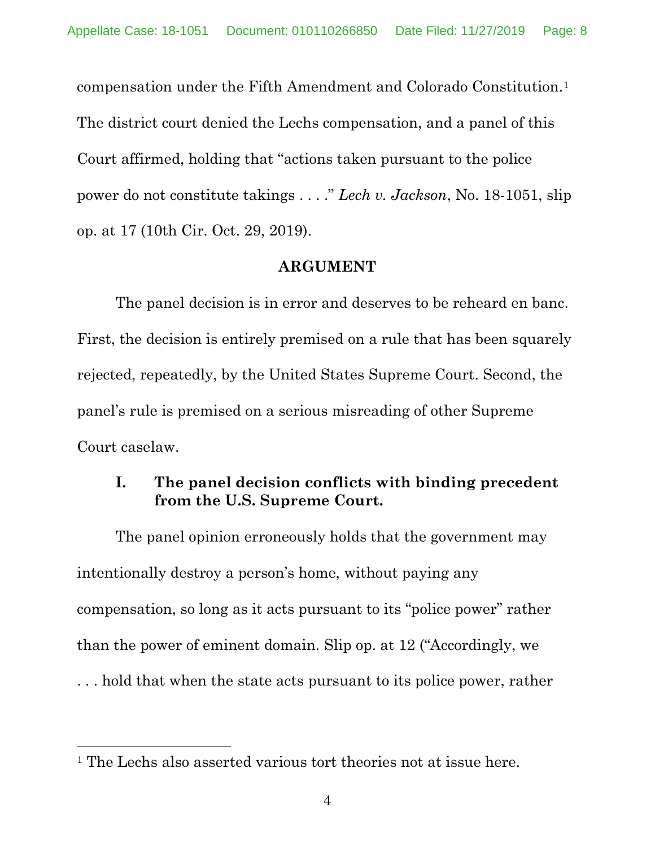compensation under the Fifth Amendment and Colorado Constitution.<sup>1</sup> The district court denied the Lechs compensation, and a panel of this Court affirmed, holding that "actions taken pursuant to the police power do not constitute takings . . . ." *Lech v. Jackson*, No. 18-1051, slip op. at 17 (10th Cir. Oct. 29, 2019).

#### **ARGUMENT**

The panel decision is in error and deserves to be reheard en banc. First, the decision is entirely premised on a rule that has been squarely rejected, repeatedly, by the United States Supreme Court. Second, the panel's rule is premised on a serious misreading of other Supreme Court caselaw.

### **I. The panel decision conflicts with binding precedent from the U.S. Supreme Court.**

The panel opinion erroneously holds that the government may intentionally destroy a person's home, without paying any compensation, so long as it acts pursuant to its "police power" rather than the power of eminent domain. Slip op. at 12 ("Accordingly, we . . . hold that when the state acts pursuant to its police power, rather

<sup>&</sup>lt;sup>1</sup> The Lechs also asserted various tort theories not at issue here.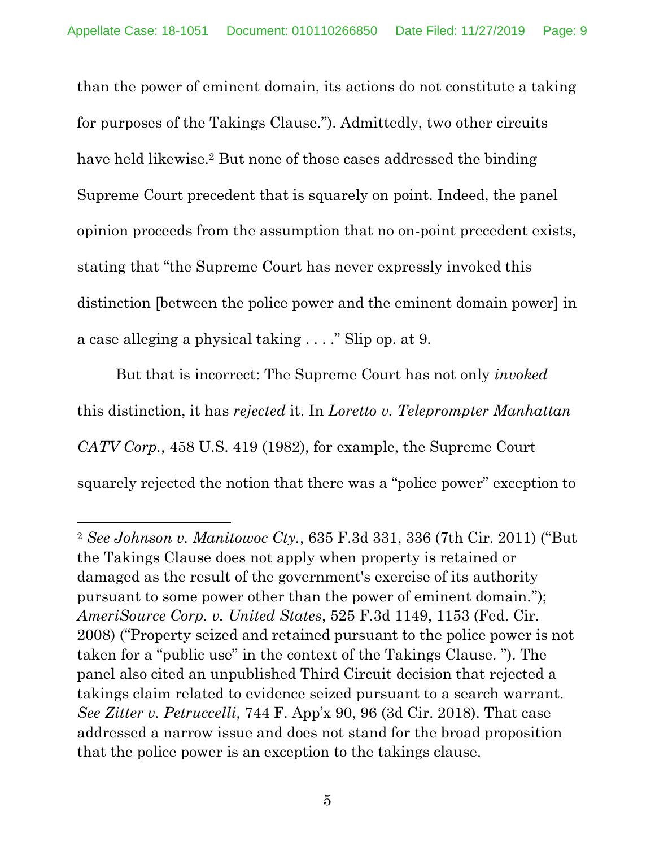than the power of eminent domain, its actions do not constitute a taking for purposes of the Takings Clause."). Admittedly, two other circuits have held likewise.<sup>2</sup> But none of those cases addressed the binding Supreme Court precedent that is squarely on point. Indeed, the panel opinion proceeds from the assumption that no on-point precedent exists, stating that "the Supreme Court has never expressly invoked this distinction [between the police power and the eminent domain power] in a case alleging a physical taking . . . ." Slip op. at 9.

But that is incorrect: The Supreme Court has not only *invoked*  this distinction, it has *rejected* it. In *Loretto v. Teleprompter Manhattan CATV Corp.*, 458 U.S. 419 (1982), for example, the Supreme Court squarely rejected the notion that there was a "police power" exception to

<sup>2</sup> *See Johnson v. Manitowoc Cty.*, 635 F.3d 331, 336 (7th Cir. 2011) ("But the Takings Clause does not apply when property is retained or damaged as the result of the government's exercise of its authority pursuant to some power other than the power of eminent domain."); *AmeriSource Corp. v. United States*, 525 F.3d 1149, 1153 (Fed. Cir. 2008) ("Property seized and retained pursuant to the police power is not taken for a "public use" in the context of the Takings Clause. "). The panel also cited an unpublished Third Circuit decision that rejected a takings claim related to evidence seized pursuant to a search warrant. *See Zitter v. Petruccelli*, 744 F. App'x 90, 96 (3d Cir. 2018). That case addressed a narrow issue and does not stand for the broad proposition that the police power is an exception to the takings clause.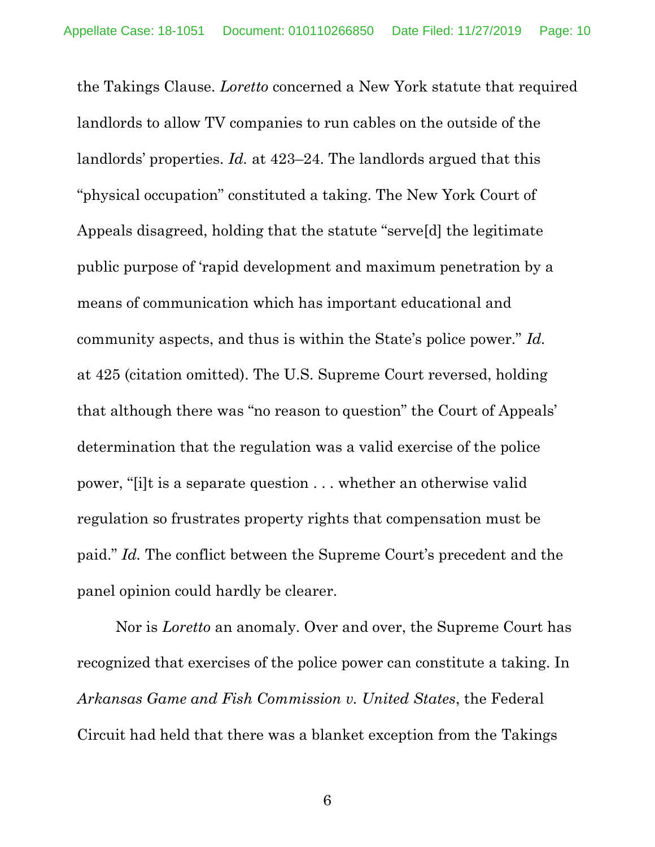the Takings Clause. *Loretto* concerned a New York statute that required landlords to allow TV companies to run cables on the outside of the landlords' properties. *Id.* at 423–24. The landlords argued that this "physical occupation" constituted a taking. The New York Court of Appeals disagreed, holding that the statute "serve[d] the legitimate public purpose of 'rapid development and maximum penetration by a means of communication which has important educational and community aspects, and thus is within the State's police power." *Id.* at 425 (citation omitted). The U.S. Supreme Court reversed, holding that although there was "no reason to question" the Court of Appeals' determination that the regulation was a valid exercise of the police power, "[i]t is a separate question . . . whether an otherwise valid regulation so frustrates property rights that compensation must be paid." *Id.* The conflict between the Supreme Court's precedent and the panel opinion could hardly be clearer.

Nor is *Loretto* an anomaly. Over and over, the Supreme Court has recognized that exercises of the police power can constitute a taking. In *Arkansas Game and Fish Commission v. United States*, the Federal Circuit had held that there was a blanket exception from the Takings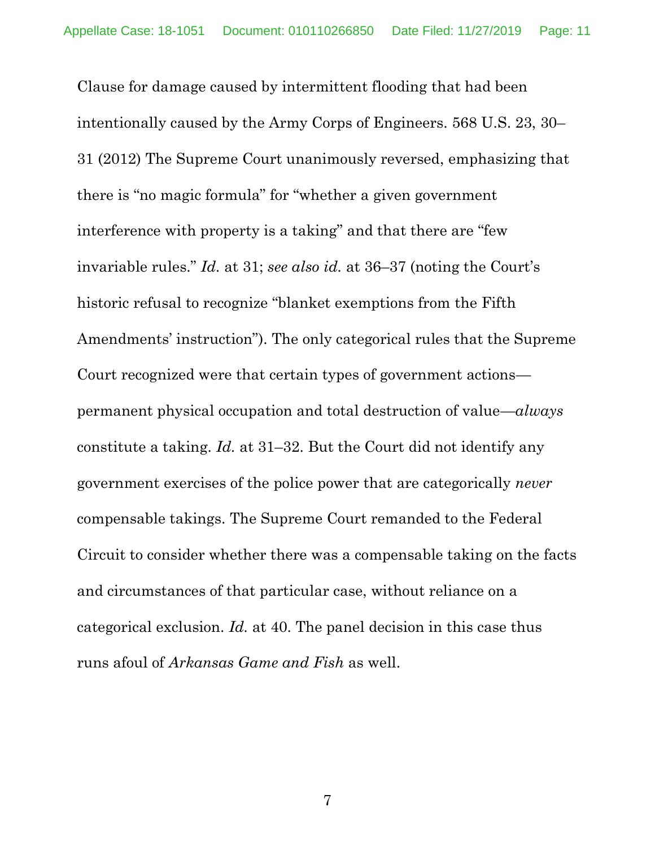Clause for damage caused by intermittent flooding that had been intentionally caused by the Army Corps of Engineers. 568 U.S. 23, 30– 31 (2012) The Supreme Court unanimously reversed, emphasizing that there is "no magic formula" for "whether a given government interference with property is a taking" and that there are "few invariable rules." *Id.* at 31; *see also id.* at 36–37 (noting the Court's historic refusal to recognize "blanket exemptions from the Fifth Amendments' instruction"). The only categorical rules that the Supreme Court recognized were that certain types of government actions permanent physical occupation and total destruction of value—*always*  constitute a taking. *Id.* at 31–32. But the Court did not identify any government exercises of the police power that are categorically *never*  compensable takings. The Supreme Court remanded to the Federal Circuit to consider whether there was a compensable taking on the facts and circumstances of that particular case, without reliance on a categorical exclusion. *Id.* at 40. The panel decision in this case thus runs afoul of *Arkansas Game and Fish* as well.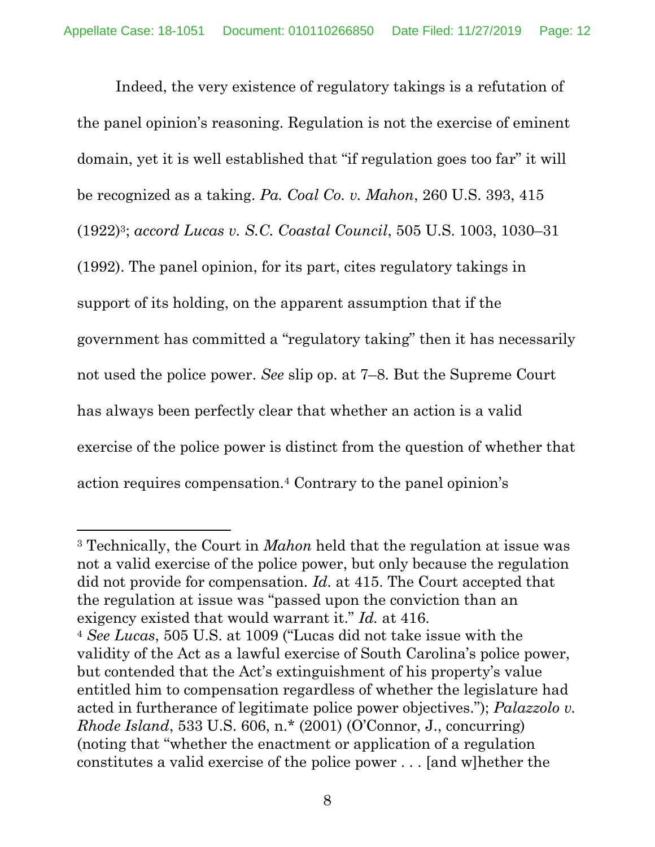Indeed, the very existence of regulatory takings is a refutation of the panel opinion's reasoning. Regulation is not the exercise of eminent domain, yet it is well established that "if regulation goes too far" it will be recognized as a taking. *Pa. Coal Co. v. Mahon*, 260 U.S. 393, 415 (1922)3; *accord Lucas v. S.C. Coastal Council*, 505 U.S. 1003, 1030–31 (1992). The panel opinion, for its part, cites regulatory takings in support of its holding, on the apparent assumption that if the government has committed a "regulatory taking" then it has necessarily not used the police power. *See* slip op. at 7–8. But the Supreme Court has always been perfectly clear that whether an action is a valid exercise of the police power is distinct from the question of whether that action requires compensation.<sup>4</sup> Contrary to the panel opinion's

<sup>3</sup> Technically, the Court in *Mahon* held that the regulation at issue was not a valid exercise of the police power, but only because the regulation did not provide for compensation. *Id.* at 415. The Court accepted that the regulation at issue was "passed upon the conviction than an exigency existed that would warrant it." *Id.* at 416.

<sup>4</sup> *See Lucas*, 505 U.S. at 1009 ("Lucas did not take issue with the validity of the Act as a lawful exercise of South Carolina's police power, but contended that the Act's extinguishment of his property's value entitled him to compensation regardless of whether the legislature had acted in furtherance of legitimate police power objectives."); *Palazzolo v. Rhode Island*, 533 U.S. 606, n.\* (2001) (O'Connor, J., concurring) (noting that "whether the enactment or application of a regulation constitutes a valid exercise of the police power . . . [and w]hether the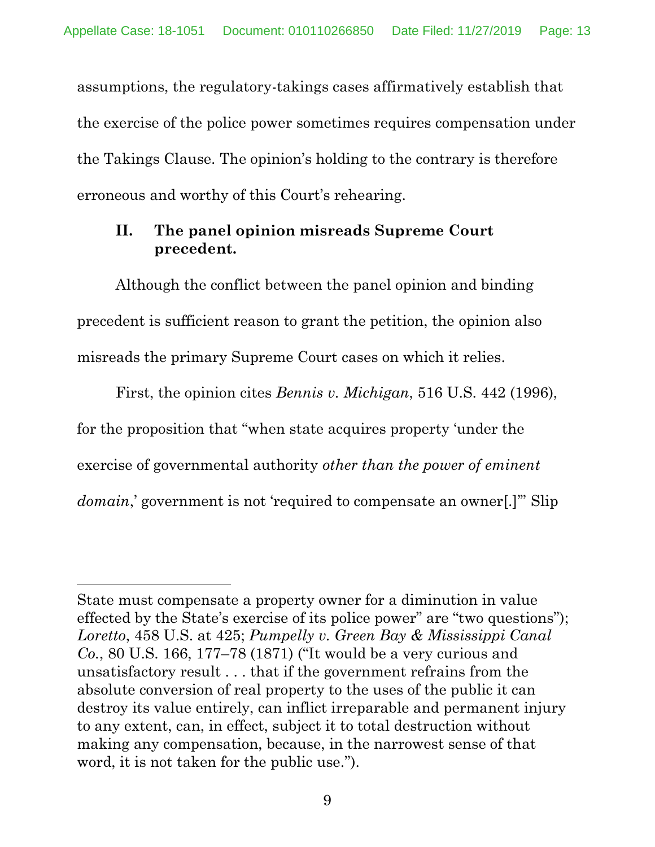assumptions, the regulatory-takings cases affirmatively establish that the exercise of the police power sometimes requires compensation under the Takings Clause. The opinion's holding to the contrary is therefore erroneous and worthy of this Court's rehearing.

### **II. The panel opinion misreads Supreme Court precedent.**

Although the conflict between the panel opinion and binding precedent is sufficient reason to grant the petition, the opinion also misreads the primary Supreme Court cases on which it relies.

First, the opinion cites *Bennis v. Michigan*, 516 U.S. 442 (1996), for the proposition that "when state acquires property 'under the exercise of governmental authority *other than the power of eminent domain*,' government is not 'required to compensate an owner...'" Slip

State must compensate a property owner for a diminution in value effected by the State's exercise of its police power" are "two questions"); *Loretto*, 458 U.S. at 425; *Pumpelly v. Green Bay & Mississippi Canal Co.*, 80 U.S. 166, 177–78 (1871) ("It would be a very curious and unsatisfactory result . . . that if the government refrains from the absolute conversion of real property to the uses of the public it can destroy its value entirely, can inflict irreparable and permanent injury to any extent, can, in effect, subject it to total destruction without making any compensation, because, in the narrowest sense of that word, it is not taken for the public use.").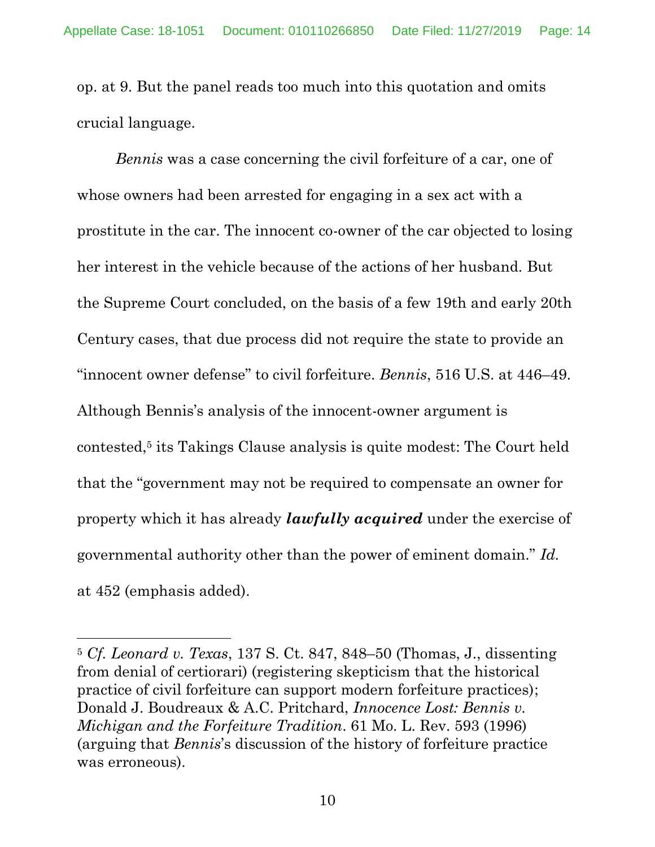op. at 9. But the panel reads too much into this quotation and omits crucial language.

*Bennis* was a case concerning the civil forfeiture of a car, one of whose owners had been arrested for engaging in a sex act with a prostitute in the car. The innocent co-owner of the car objected to losing her interest in the vehicle because of the actions of her husband. But the Supreme Court concluded, on the basis of a few 19th and early 20th Century cases, that due process did not require the state to provide an "innocent owner defense" to civil forfeiture. *Bennis*, 516 U.S. at 446–49. Although Bennis's analysis of the innocent-owner argument is contested, <sup>5</sup> its Takings Clause analysis is quite modest: The Court held that the "government may not be required to compensate an owner for property which it has already *lawfully acquired* under the exercise of governmental authority other than the power of eminent domain." *Id.*  at 452 (emphasis added).

<sup>5</sup> *Cf. Leonard v. Texas*, 137 S. Ct. 847, 848–50 (Thomas, J., dissenting from denial of certiorari) (registering skepticism that the historical practice of civil forfeiture can support modern forfeiture practices); Donald J. Boudreaux & A.C. Pritchard, *Innocence Lost: Bennis v. Michigan and the Forfeiture Tradition*. 61 Mo. L. Rev. 593 (1996) (arguing that *Bennis*'s discussion of the history of forfeiture practice was erroneous).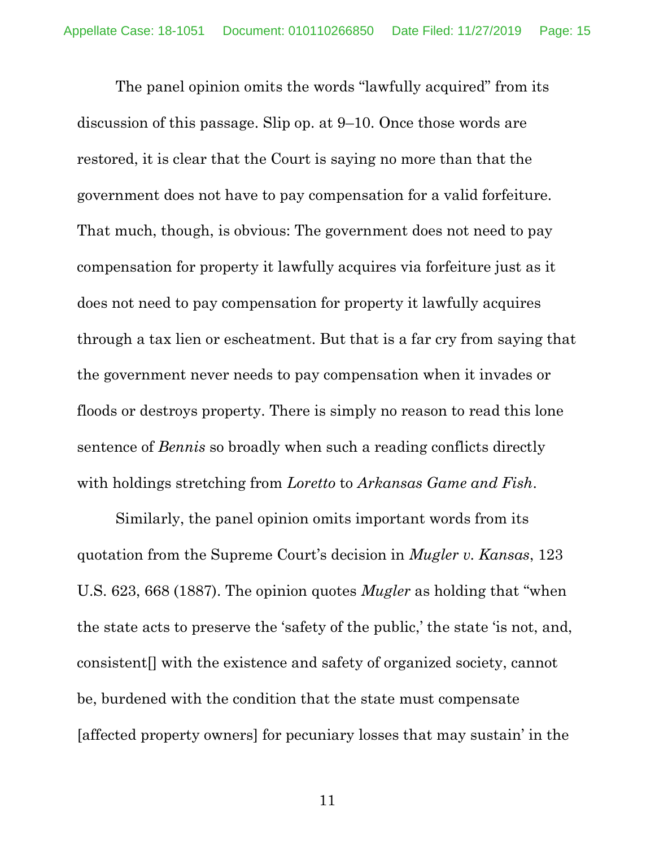The panel opinion omits the words "lawfully acquired" from its discussion of this passage. Slip op. at 9–10. Once those words are restored, it is clear that the Court is saying no more than that the government does not have to pay compensation for a valid forfeiture. That much, though, is obvious: The government does not need to pay compensation for property it lawfully acquires via forfeiture just as it does not need to pay compensation for property it lawfully acquires through a tax lien or escheatment. But that is a far cry from saying that the government never needs to pay compensation when it invades or floods or destroys property. There is simply no reason to read this lone sentence of *Bennis* so broadly when such a reading conflicts directly with holdings stretching from *Loretto* to *Arkansas Game and Fish*.

Similarly, the panel opinion omits important words from its quotation from the Supreme Court's decision in *Mugler v. Kansas*, 123 U.S. 623, 668 (1887). The opinion quotes *Mugler* as holding that "when the state acts to preserve the 'safety of the public,' the state 'is not, and, consistent[] with the existence and safety of organized society, cannot be, burdened with the condition that the state must compensate [affected property owners] for pecuniary losses that may sustain' in the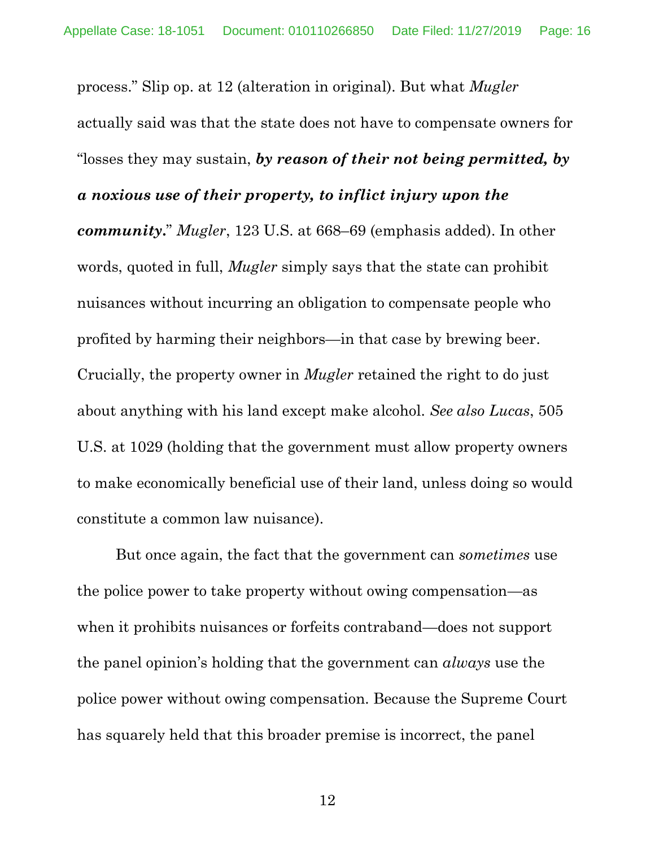process." Slip op. at 12 (alteration in original). But what *Mugler*  actually said was that the state does not have to compensate owners for "losses they may sustain, *by reason of their not being permitted, by a noxious use of their property, to inflict injury upon the* 

*community***.**" *Mugler*, 123 U.S. at 668–69 (emphasis added). In other words, quoted in full, *Mugler* simply says that the state can prohibit nuisances without incurring an obligation to compensate people who profited by harming their neighbors—in that case by brewing beer. Crucially, the property owner in *Mugler* retained the right to do just about anything with his land except make alcohol. *See also Lucas*, 505 U.S. at 1029 (holding that the government must allow property owners to make economically beneficial use of their land, unless doing so would constitute a common law nuisance).

But once again, the fact that the government can *sometimes* use the police power to take property without owing compensation—as when it prohibits nuisances or forfeits contraband—does not support the panel opinion's holding that the government can *always* use the police power without owing compensation. Because the Supreme Court has squarely held that this broader premise is incorrect, the panel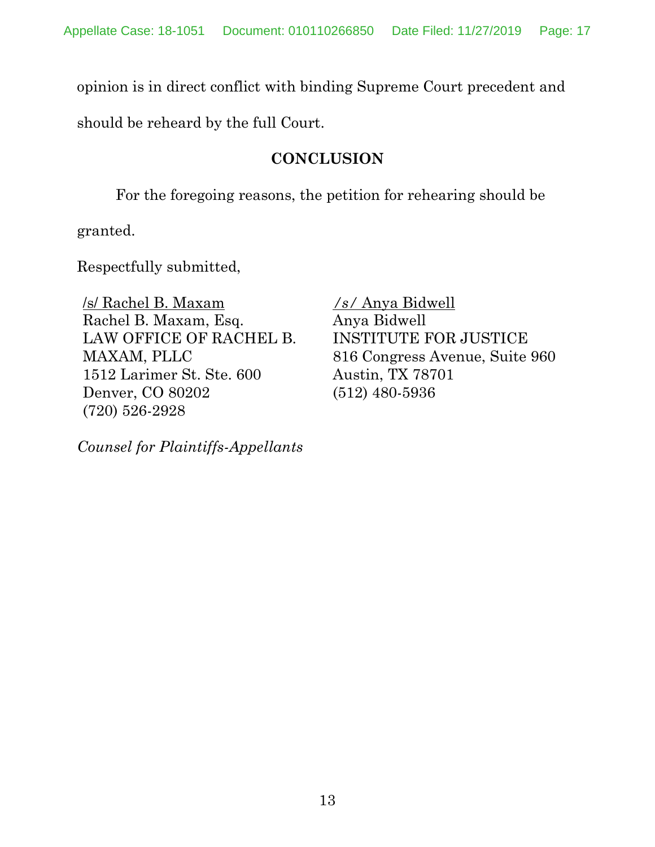opinion is in direct conflict with binding Supreme Court precedent and

should be reheard by the full Court.

## **CONCLUSION**

For the foregoing reasons, the petition for rehearing should be

granted.

Respectfully submitted,

/s/ Rachel B. Maxam Rachel B. Maxam, Esq. LAW OFFICE OF RACHEL B. MAXAM, PLLC 1512 Larimer St. Ste. 600 Denver, CO 80202 (720) 526-2928

*Counsel for Plaintiffs-Appellants*

*/s/* Anya Bidwell Anya Bidwell INSTITUTE FOR JUSTICE 816 Congress Avenue, Suite 960 Austin, TX 78701 (512) 480-5936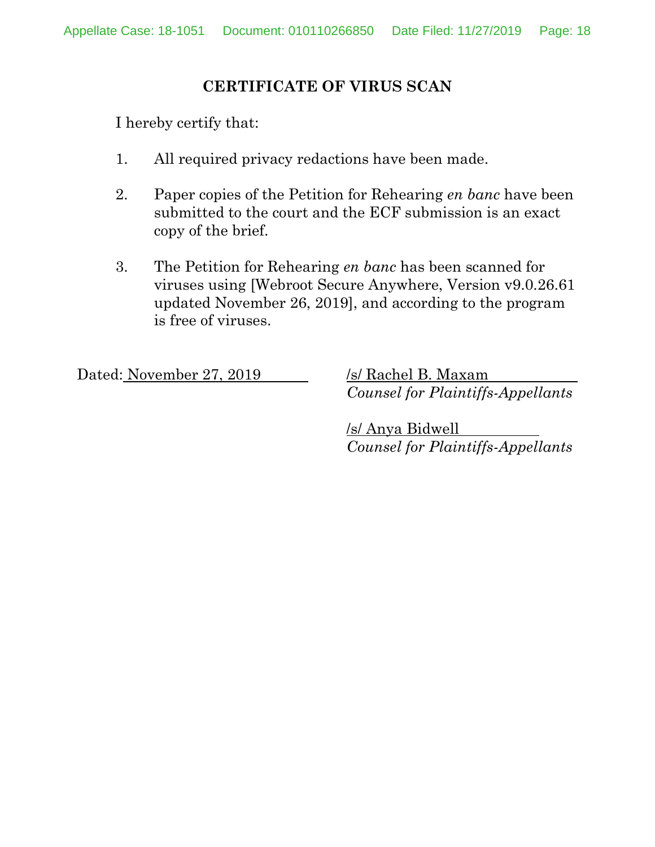### **CERTIFICATE OF VIRUS SCAN**

I hereby certify that:

- 1. All required privacy redactions have been made.
- 2. Paper copies of the Petition for Rehearing *en banc* have been submitted to the court and the ECF submission is an exact copy of the brief.
- 3. The Petition for Rehearing *en banc* has been scanned for viruses using [Webroot Secure Anywhere, Version v9.0.26.61 updated November 26, 2019], and according to the program is free of viruses.

Dated: November 27, 2019 /s/ Rachel B. Maxam

*Counsel for Plaintiffs-Appellants*

/s/ Anya Bidwell *Counsel for Plaintiffs-Appellants*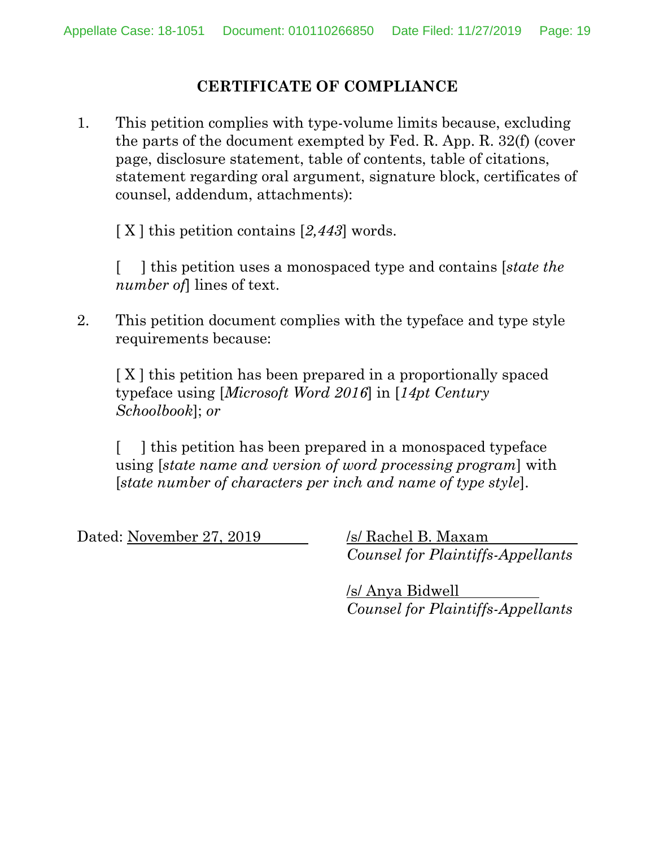### **CERTIFICATE OF COMPLIANCE**

1. This petition complies with type-volume limits because, excluding the parts of the document exempted by Fed. R. App. R. 32(f) (cover page, disclosure statement, table of contents, table of citations, statement regarding oral argument, signature block, certificates of counsel, addendum, attachments):

[ X ] this petition contains [*2,443*] words.

[ ] this petition uses a monospaced type and contains [*state the number of*] lines of text.

2. This petition document complies with the typeface and type style requirements because:

[ X ] this petition has been prepared in a proportionally spaced typeface using [*Microsoft Word 2016*] in [*14pt Century Schoolbook*]; *or*

[ ] this petition has been prepared in a monospaced typeface using [*state name and version of word processing program*] with [*state number of characters per inch and name of type style*].

Dated: November 27, 2019 /s/ Rachel B. Maxam

*Counsel for Plaintiffs-Appellants*

/s/ Anya Bidwell *Counsel for Plaintiffs-Appellants*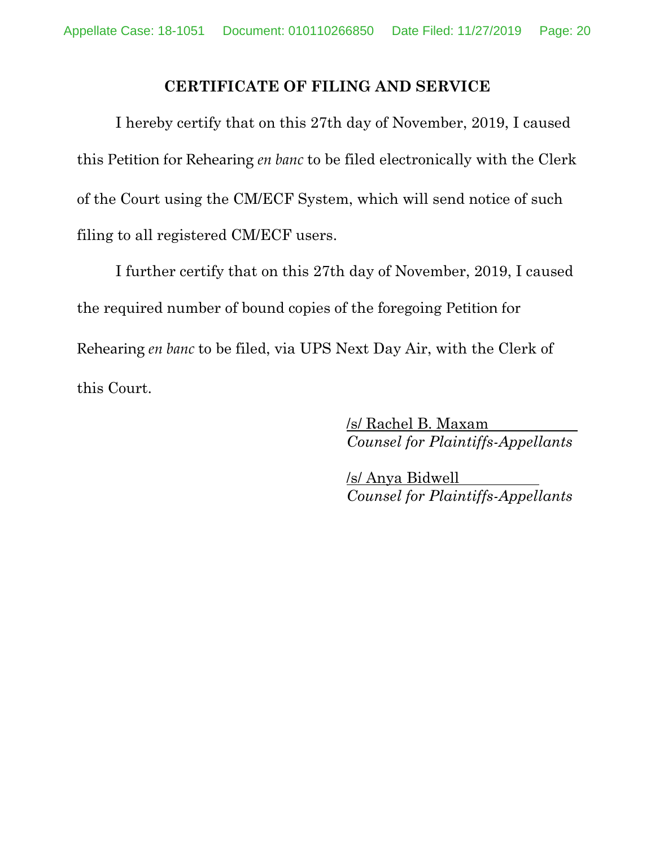### **CERTIFICATE OF FILING AND SERVICE**

I hereby certify that on this 27th day of November, 2019, I caused this Petition for Rehearing *en banc* to be filed electronically with the Clerk of the Court using the CM/ECF System, which will send notice of such filing to all registered CM/ECF users.

I further certify that on this 27th day of November, 2019, I caused the required number of bound copies of the foregoing Petition for Rehearing *en banc* to be filed, via UPS Next Day Air, with the Clerk of this Court.

> /s/ Rachel B. Maxam *Counsel for Plaintiffs-Appellants*

> /s/ Anya Bidwell *Counsel for Plaintiffs-Appellants*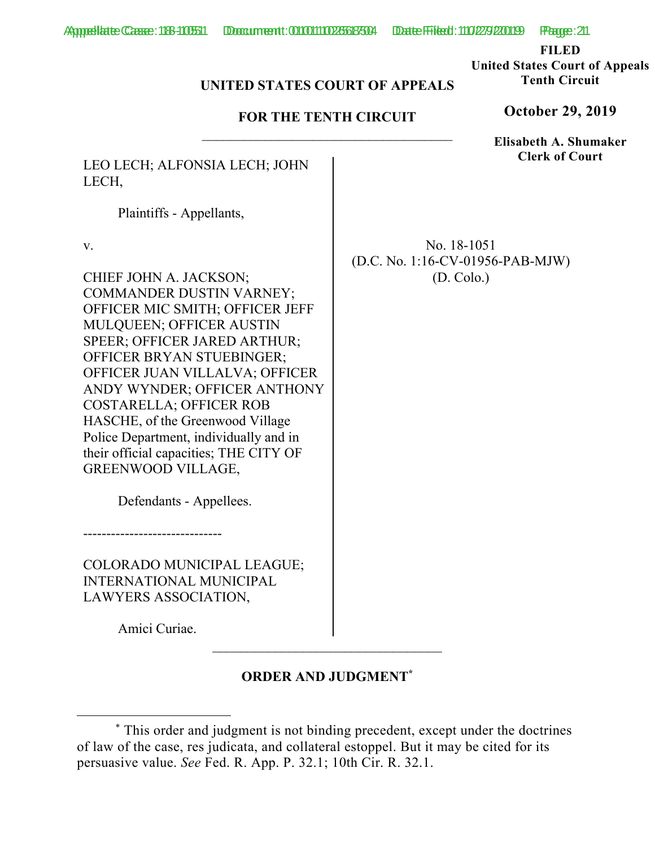**FILED** 

**United States Court of Appeals Tenth Circuit** 

#### **UNITED STATES COURT OF APPEALS**

#### **FOR THE TENTH CIRCUIT**

LEO LECH; ALFONSIA LECH; JOHN LECH,

Plaintiffs - Appellants,

v.

CHIEF JOHN A. JACKSON; COMMANDER DUSTIN VARNEY; OFFICER MIC SMITH; OFFICER JEFF MULQUEEN; OFFICER AUSTIN SPEER; OFFICER JARED ARTHUR; OFFICER BRYAN STUEBINGER; OFFICER JUAN VILLALVA; OFFICER ANDY WYNDER; OFFICER ANTHONY COSTARELLA; OFFICER ROB HASCHE, of the Greenwood Village Police Department, individually and in their official capacities; THE CITY OF GREENWOOD VILLAGE,

Defendants - Appellees.

------------------------------

COLORADO MUNICIPAL LEAGUE; INTERNATIONAL MUNICIPAL LAWYERS ASSOCIATION,

Amici Curiae.

### **ORDER AND JUDGMENT\***

**October 29, 2019**

**Elisabeth A. Shumaker Clerk of Court**

No. 18-1051 (D.C. No. 1:16-CV-01956-PAB-MJW) (D. Colo.)

 <sup>\*</sup> This order and judgment is not binding precedent, except under the doctrines of law of the case, res judicata, and collateral estoppel. But it may be cited for its persuasive value. *See* Fed. R. App. P. 32.1; 10th Cir. R. 32.1.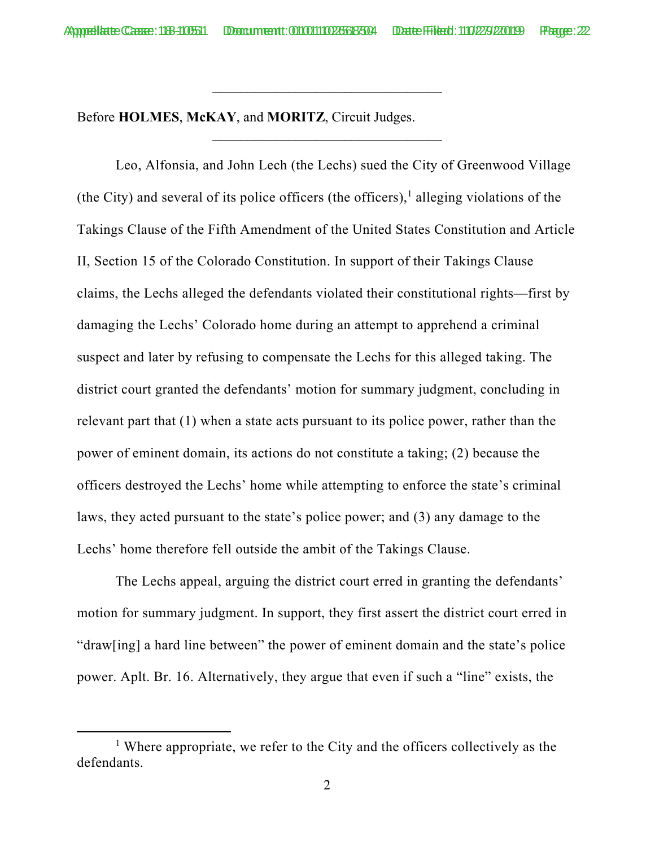\_\_\_\_\_\_\_\_\_\_\_\_\_\_\_\_\_\_\_\_\_\_\_\_\_\_\_\_\_\_\_\_\_

Before **HOLMES**, **McKAY**, and **MORITZ**, Circuit Judges.

Leo, Alfonsia, and John Lech (the Lechs) sued the City of Greenwood Village (the City) and several of its police officers (the officers),<sup>1</sup> alleging violations of the Takings Clause of the Fifth Amendment of the United States Constitution and Article II, Section 15 of the Colorado Constitution. In support of their Takings Clause claims, the Lechs alleged the defendants violated their constitutional rights—first by damaging the Lechs' Colorado home during an attempt to apprehend a criminal suspect and later by refusing to compensate the Lechs for this alleged taking. The district court granted the defendants' motion for summary judgment, concluding in relevant part that (1) when a state acts pursuant to its police power, rather than the power of eminent domain, its actions do not constitute a taking; (2) because the officers destroyed the Lechs' home while attempting to enforce the state's criminal laws, they acted pursuant to the state's police power; and (3) any damage to the Lechs' home therefore fell outside the ambit of the Takings Clause.

The Lechs appeal, arguing the district court erred in granting the defendants' motion for summary judgment. In support, they first assert the district court erred in "draw[ing] a hard line between" the power of eminent domain and the state's police power. Aplt. Br. 16. Alternatively, they argue that even if such a "line" exists, the

<sup>&</sup>lt;u>1</u> <sup> $1$ </sup> Where appropriate, we refer to the City and the officers collectively as the defendants.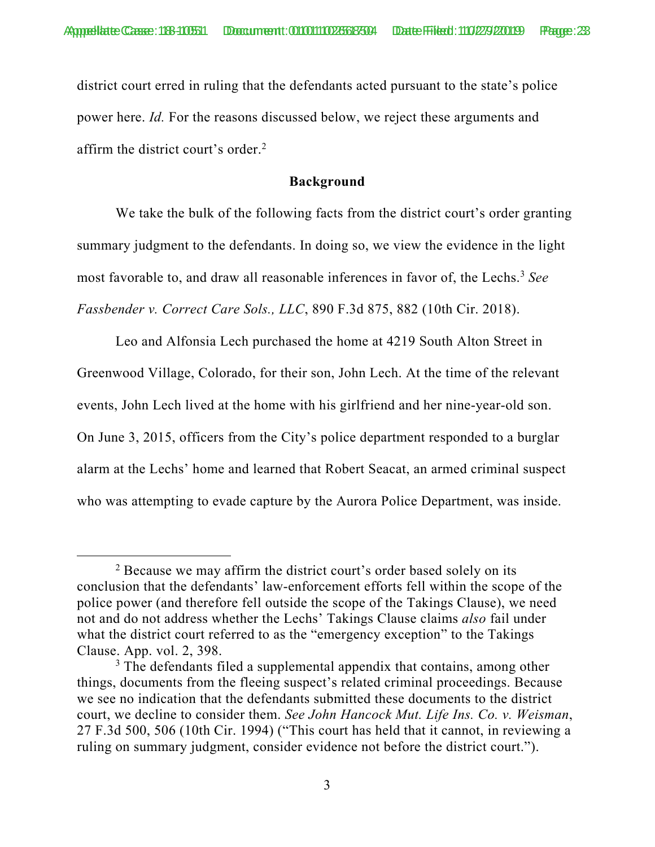district court erred in ruling that the defendants acted pursuant to the state's police power here. *Id.* For the reasons discussed below, we reject these arguments and affirm the district court's order.<sup>2</sup>

#### **Background**

We take the bulk of the following facts from the district court's order granting summary judgment to the defendants. In doing so, we view the evidence in the light most favorable to, and draw all reasonable inferences in favor of, the Lechs.<sup>3</sup> See *Fassbender v. Correct Care Sols., LLC*, 890 F.3d 875, 882 (10th Cir. 2018).

Leo and Alfonsia Lech purchased the home at 4219 South Alton Street in Greenwood Village, Colorado, for their son, John Lech. At the time of the relevant events, John Lech lived at the home with his girlfriend and her nine-year-old son. On June 3, 2015, officers from the City's police department responded to a burglar alarm at the Lechs' home and learned that Robert Seacat, an armed criminal suspect who was attempting to evade capture by the Aurora Police Department, was inside.

 $\overline{\phantom{a}}$  2  $<sup>2</sup>$  Because we may affirm the district court's order based solely on its</sup> conclusion that the defendants' law-enforcement efforts fell within the scope of the police power (and therefore fell outside the scope of the Takings Clause), we need not and do not address whether the Lechs' Takings Clause claims *also* fail under what the district court referred to as the "emergency exception" to the Takings Clause. App. vol. 2, 398.

<sup>&</sup>lt;sup>3</sup> The defendants filed a supplemental appendix that contains, among other things, documents from the fleeing suspect's related criminal proceedings. Because we see no indication that the defendants submitted these documents to the district court, we decline to consider them. *See John Hancock Mut. Life Ins. Co. v. Weisman*, 27 F.3d 500, 506 (10th Cir. 1994) ("This court has held that it cannot, in reviewing a ruling on summary judgment, consider evidence not before the district court.").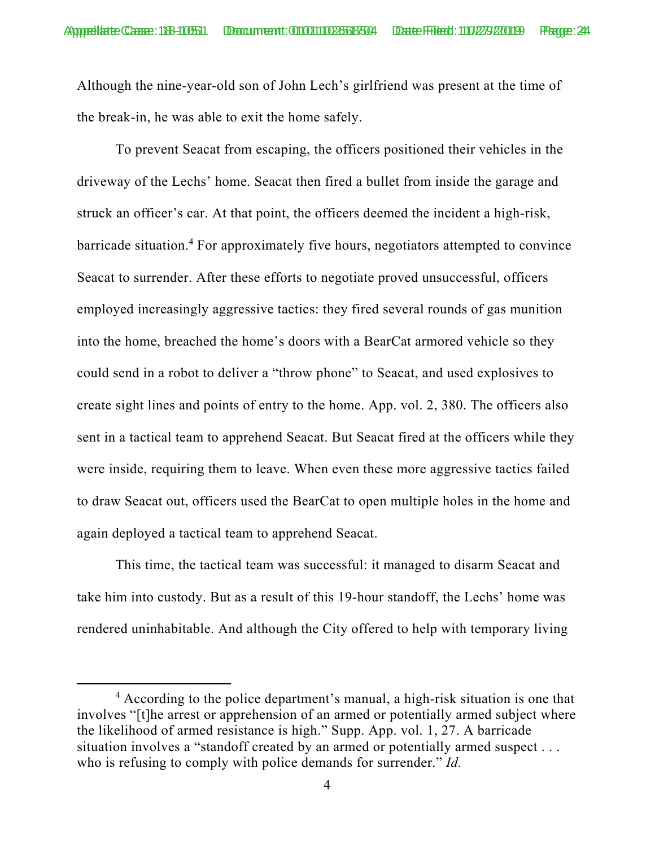Although the nine-year-old son of John Lech's girlfriend was present at the time of the break-in, he was able to exit the home safely.

 To prevent Seacat from escaping, the officers positioned their vehicles in the driveway of the Lechs' home. Seacat then fired a bullet from inside the garage and struck an officer's car. At that point, the officers deemed the incident a high-risk, barricade situation.<sup>4</sup> For approximately five hours, negotiators attempted to convince Seacat to surrender. After these efforts to negotiate proved unsuccessful, officers employed increasingly aggressive tactics: they fired several rounds of gas munition into the home, breached the home's doors with a BearCat armored vehicle so they could send in a robot to deliver a "throw phone" to Seacat, and used explosives to create sight lines and points of entry to the home. App. vol. 2, 380. The officers also sent in a tactical team to apprehend Seacat. But Seacat fired at the officers while they were inside, requiring them to leave. When even these more aggressive tactics failed to draw Seacat out, officers used the BearCat to open multiple holes in the home and again deployed a tactical team to apprehend Seacat.

 This time, the tactical team was successful: it managed to disarm Seacat and take him into custody. But as a result of this 19-hour standoff, the Lechs' home was rendered uninhabitable. And although the City offered to help with temporary living

 $\overline{4}$ <sup>4</sup> According to the police department's manual, a high-risk situation is one that involves "[t]he arrest or apprehension of an armed or potentially armed subject where the likelihood of armed resistance is high." Supp. App. vol. 1, 27. A barricade situation involves a "standoff created by an armed or potentially armed suspect . . . who is refusing to comply with police demands for surrender." *Id.*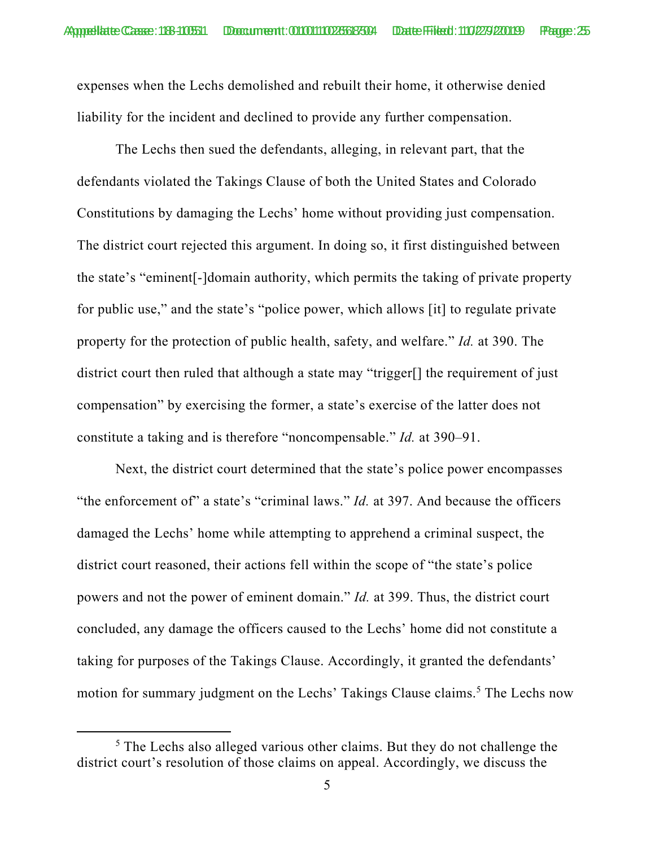expenses when the Lechs demolished and rebuilt their home, it otherwise denied liability for the incident and declined to provide any further compensation.

The Lechs then sued the defendants, alleging, in relevant part, that the defendants violated the Takings Clause of both the United States and Colorado Constitutions by damaging the Lechs' home without providing just compensation. The district court rejected this argument. In doing so, it first distinguished between the state's "eminent[-]domain authority, which permits the taking of private property for public use," and the state's "police power, which allows [it] to regulate private property for the protection of public health, safety, and welfare." *Id.* at 390. The district court then ruled that although a state may "trigger[] the requirement of just compensation" by exercising the former, a state's exercise of the latter does not constitute a taking and is therefore "noncompensable." *Id.* at 390–91.

Next, the district court determined that the state's police power encompasses "the enforcement of" a state's "criminal laws." *Id.* at 397. And because the officers damaged the Lechs' home while attempting to apprehend a criminal suspect, the district court reasoned, their actions fell within the scope of "the state's police powers and not the power of eminent domain." *Id.* at 399. Thus, the district court concluded, any damage the officers caused to the Lechs' home did not constitute a taking for purposes of the Takings Clause. Accordingly, it granted the defendants' motion for summary judgment on the Lechs' Takings Clause claims. 5 The Lechs now

 $\frac{1}{5}$ <sup>5</sup> The Lechs also alleged various other claims. But they do not challenge the district court's resolution of those claims on appeal. Accordingly, we discuss the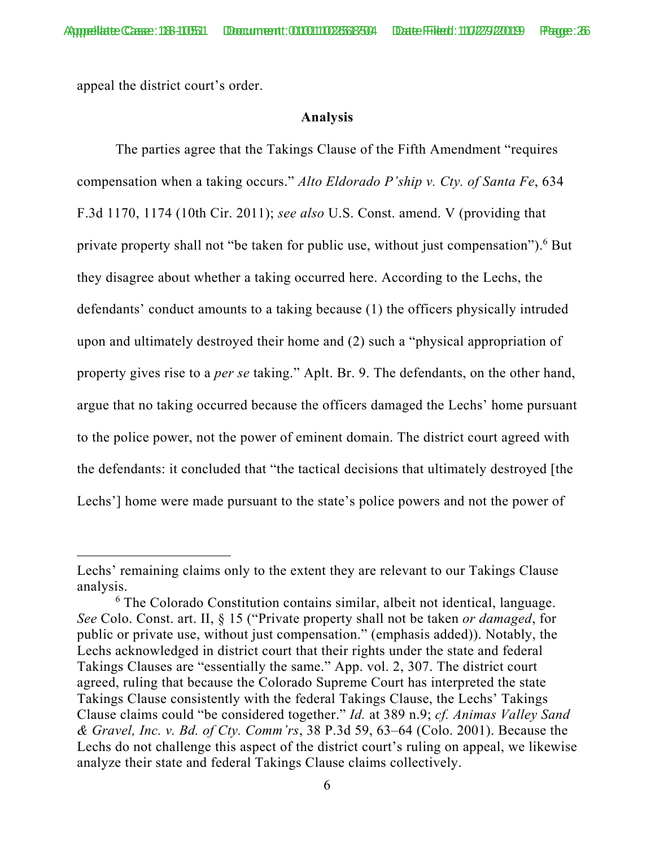appeal the district court's order.

#### **Analysis**

The parties agree that the Takings Clause of the Fifth Amendment "requires compensation when a taking occurs." *Alto Eldorado P'ship v. Cty. of Santa Fe*, 634 F.3d 1170, 1174 (10th Cir. 2011); *see also* U.S. Const. amend. V (providing that private property shall not "be taken for public use, without just compensation").<sup>6</sup> But they disagree about whether a taking occurred here. According to the Lechs, the defendants' conduct amounts to a taking because (1) the officers physically intruded upon and ultimately destroyed their home and (2) such a "physical appropriation of property gives rise to a *per se* taking." Aplt. Br. 9. The defendants, on the other hand, argue that no taking occurred because the officers damaged the Lechs' home pursuant to the police power, not the power of eminent domain. The district court agreed with the defendants: it concluded that "the tactical decisions that ultimately destroyed [the Lechs'] home were made pursuant to the state's police powers and not the power of

Lechs' remaining claims only to the extent they are relevant to our Takings Clause analysis.

<sup>6</sup> The Colorado Constitution contains similar, albeit not identical, language. *See* Colo. Const. art. II, § 15 ("Private property shall not be taken *or damaged*, for public or private use, without just compensation." (emphasis added)). Notably, the Lechs acknowledged in district court that their rights under the state and federal Takings Clauses are "essentially the same." App. vol. 2, 307. The district court agreed, ruling that because the Colorado Supreme Court has interpreted the state Takings Clause consistently with the federal Takings Clause, the Lechs' Takings Clause claims could "be considered together." *Id.* at 389 n.9; *cf. Animas Valley Sand & Gravel, Inc. v. Bd. of Cty. Comm'rs*, 38 P.3d 59, 63–64 (Colo. 2001). Because the Lechs do not challenge this aspect of the district court's ruling on appeal, we likewise analyze their state and federal Takings Clause claims collectively.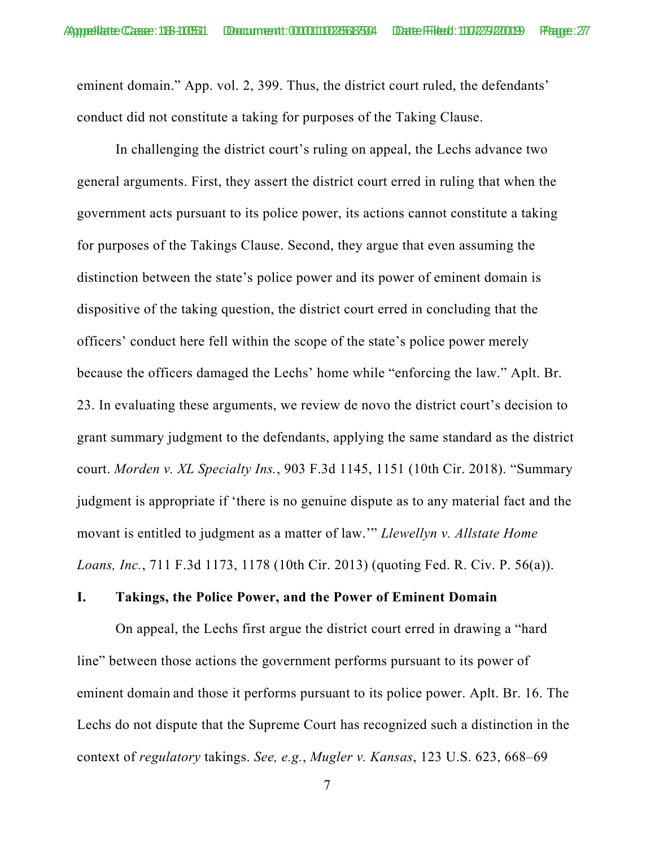eminent domain." App. vol. 2, 399. Thus, the district court ruled, the defendants' conduct did not constitute a taking for purposes of the Taking Clause.

In challenging the district court's ruling on appeal, the Lechs advance two general arguments. First, they assert the district court erred in ruling that when the government acts pursuant to its police power, its actions cannot constitute a taking for purposes of the Takings Clause. Second, they argue that even assuming the distinction between the state's police power and its power of eminent domain is dispositive of the taking question, the district court erred in concluding that the officers' conduct here fell within the scope of the state's police power merely because the officers damaged the Lechs' home while "enforcing the law." Aplt. Br. 23. In evaluating these arguments, we review de novo the district court's decision to grant summary judgment to the defendants, applying the same standard as the district court. *Morden v. XL Specialty Ins.*, 903 F.3d 1145, 1151 (10th Cir. 2018). "Summary judgment is appropriate if 'there is no genuine dispute as to any material fact and the movant is entitled to judgment as a matter of law.'" *Llewellyn v. Allstate Home Loans, Inc.*, 711 F.3d 1173, 1178 (10th Cir. 2013) (quoting Fed. R. Civ. P. 56(a)).

#### **I. Takings, the Police Power, and the Power of Eminent Domain**

 On appeal, the Lechs first argue the district court erred in drawing a "hard line" between those actions the government performs pursuant to its power of eminent domain and those it performs pursuant to its police power. Aplt. Br. 16. The Lechs do not dispute that the Supreme Court has recognized such a distinction in the context of *regulatory* takings. *See, e.g.*, *Mugler v. Kansas*, 123 U.S. 623, 668–69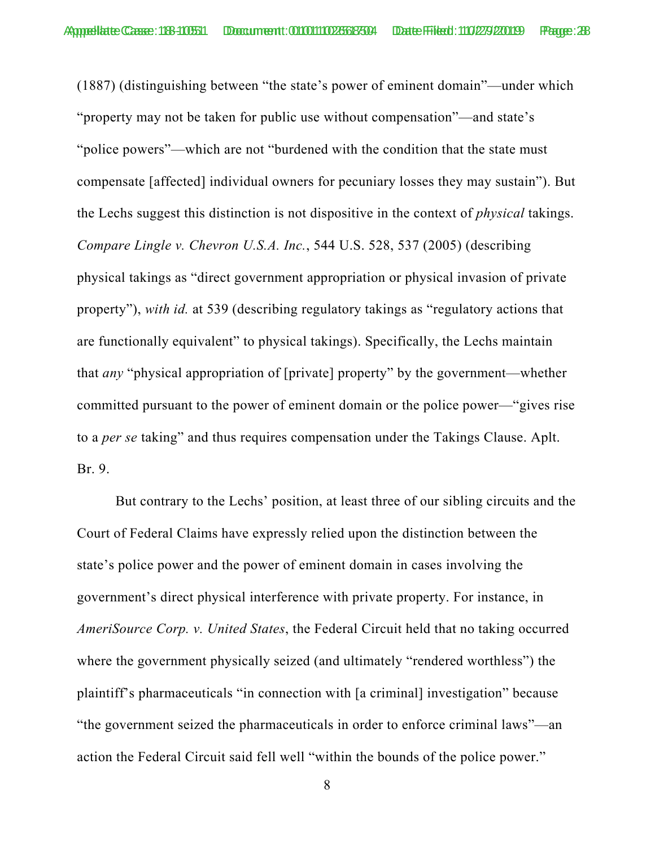(1887) (distinguishing between "the state's power of eminent domain"—under which "property may not be taken for public use without compensation"—and state's "police powers"—which are not "burdened with the condition that the state must compensate [affected] individual owners for pecuniary losses they may sustain"). But the Lechs suggest this distinction is not dispositive in the context of *physical* takings. *Compare Lingle v. Chevron U.S.A. Inc.*, 544 U.S. 528, 537 (2005) (describing physical takings as "direct government appropriation or physical invasion of private property"), *with id.* at 539 (describing regulatory takings as "regulatory actions that are functionally equivalent" to physical takings). Specifically, the Lechs maintain that *any* "physical appropriation of [private] property" by the government—whether committed pursuant to the power of eminent domain or the police power—"gives rise to a *per se* taking" and thus requires compensation under the Takings Clause. Aplt. Br. 9.

 But contrary to the Lechs' position, at least three of our sibling circuits and the Court of Federal Claims have expressly relied upon the distinction between the state's police power and the power of eminent domain in cases involving the government's direct physical interference with private property. For instance, in *AmeriSource Corp. v. United States*, the Federal Circuit held that no taking occurred where the government physically seized (and ultimately "rendered worthless") the plaintiff's pharmaceuticals "in connection with [a criminal] investigation" because "the government seized the pharmaceuticals in order to enforce criminal laws"—an action the Federal Circuit said fell well "within the bounds of the police power."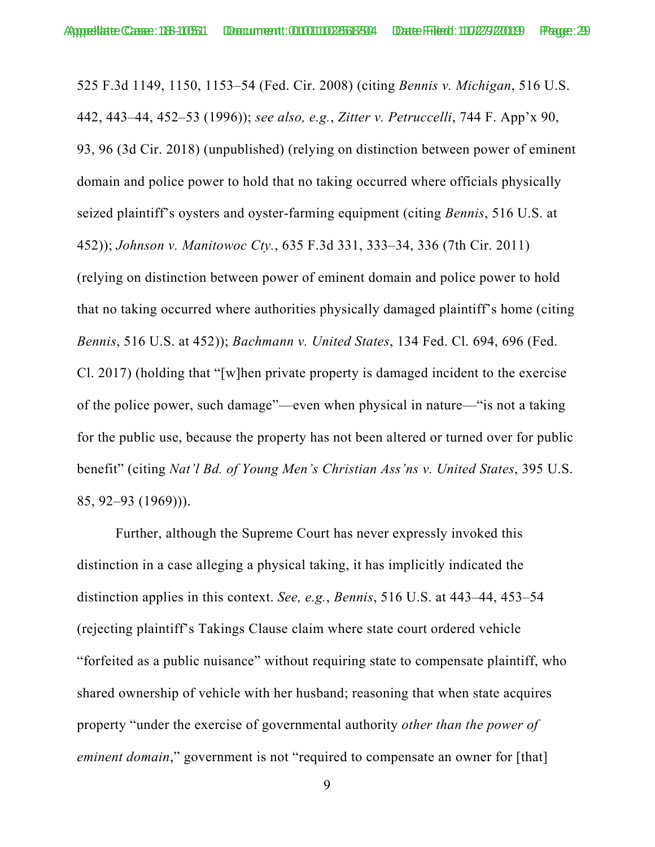525 F.3d 1149, 1150, 1153–54 (Fed. Cir. 2008) (citing *Bennis v. Michigan*, 516 U.S. 442, 443–44, 452–53 (1996)); *see also, e.g.*, *Zitter v. Petruccelli*, 744 F. App'x 90, 93, 96 (3d Cir. 2018) (unpublished) (relying on distinction between power of eminent domain and police power to hold that no taking occurred where officials physically seized plaintiff's oysters and oyster-farming equipment (citing *Bennis*, 516 U.S. at 452)); *Johnson v. Manitowoc Cty.*, 635 F.3d 331, 333–34, 336 (7th Cir. 2011) (relying on distinction between power of eminent domain and police power to hold that no taking occurred where authorities physically damaged plaintiff's home (citing *Bennis*, 516 U.S. at 452)); *Bachmann v. United States*, 134 Fed. Cl. 694, 696 (Fed. Cl. 2017) (holding that "[w]hen private property is damaged incident to the exercise of the police power, such damage"—even when physical in nature—"is not a taking for the public use, because the property has not been altered or turned over for public benefit" (citing *Nat'l Bd. of Young Men's Christian Ass'ns v. United States*, 395 U.S. 85, 92–93 (1969))).

 Further, although the Supreme Court has never expressly invoked this distinction in a case alleging a physical taking, it has implicitly indicated the distinction applies in this context. *See, e.g.*, *Bennis*, 516 U.S. at 443–44, 453–54 (rejecting plaintiff's Takings Clause claim where state court ordered vehicle "forfeited as a public nuisance" without requiring state to compensate plaintiff, who shared ownership of vehicle with her husband; reasoning that when state acquires property "under the exercise of governmental authority *other than the power of eminent domain*," government is not "required to compensate an owner for [that]

<sup>9</sup>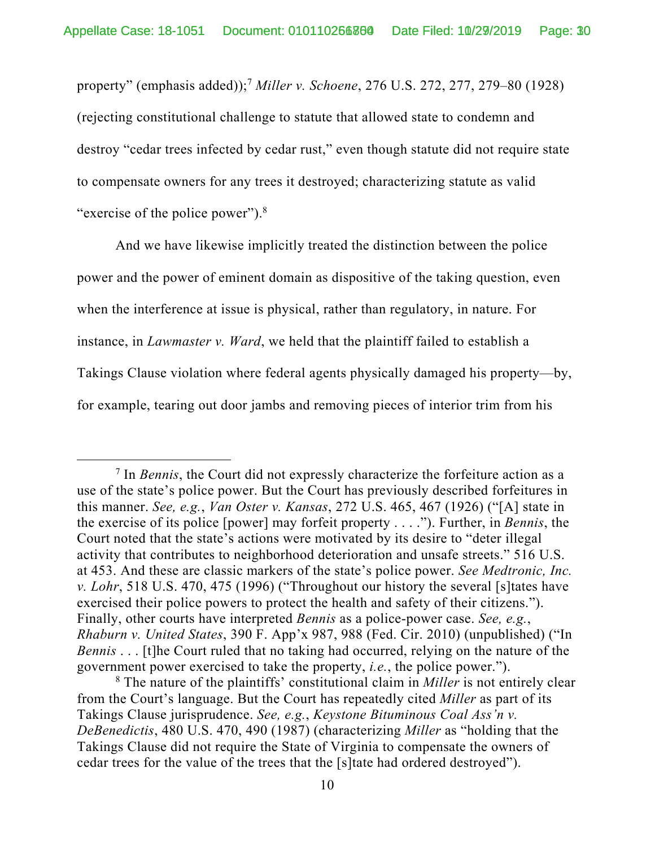property" (emphasis added));7 *Miller v. Schoene*, 276 U.S. 272, 277, 279–80 (1928) (rejecting constitutional challenge to statute that allowed state to condemn and destroy "cedar trees infected by cedar rust," even though statute did not require state to compensate owners for any trees it destroyed; characterizing statute as valid "exercise of the police power").<sup>8</sup>

 And we have likewise implicitly treated the distinction between the police power and the power of eminent domain as dispositive of the taking question, even when the interference at issue is physical, rather than regulatory, in nature. For instance, in *Lawmaster v. Ward*, we held that the plaintiff failed to establish a Takings Clause violation where federal agents physically damaged his property—by, for example, tearing out door jambs and removing pieces of interior trim from his

 <sup>7</sup> <sup>7</sup> In *Bennis*, the Court did not expressly characterize the forfeiture action as a use of the state's police power. But the Court has previously described forfeitures in this manner. *See, e.g.*, *Van Oster v. Kansas*, 272 U.S. 465, 467 (1926) ("[A] state in the exercise of its police [power] may forfeit property . . . ."). Further, in *Bennis*, the Court noted that the state's actions were motivated by its desire to "deter illegal activity that contributes to neighborhood deterioration and unsafe streets." 516 U.S. at 453. And these are classic markers of the state's police power. *See Medtronic, Inc. v. Lohr*, 518 U.S. 470, 475 (1996) ("Throughout our history the several [s]tates have exercised their police powers to protect the health and safety of their citizens."). Finally, other courts have interpreted *Bennis* as a police-power case. *See, e.g.*, *Rhaburn v. United States*, 390 F. App'x 987, 988 (Fed. Cir. 2010) (unpublished) ("In *Bennis* . . . [t]he Court ruled that no taking had occurred, relying on the nature of the government power exercised to take the property, *i.e.*, the police power.").

<sup>8</sup> The nature of the plaintiffs' constitutional claim in *Miller* is not entirely clear from the Court's language. But the Court has repeatedly cited *Miller* as part of its Takings Clause jurisprudence. *See, e.g.*, *Keystone Bituminous Coal Ass'n v. DeBenedictis*, 480 U.S. 470, 490 (1987) (characterizing *Miller* as "holding that the Takings Clause did not require the State of Virginia to compensate the owners of cedar trees for the value of the trees that the [s]tate had ordered destroyed").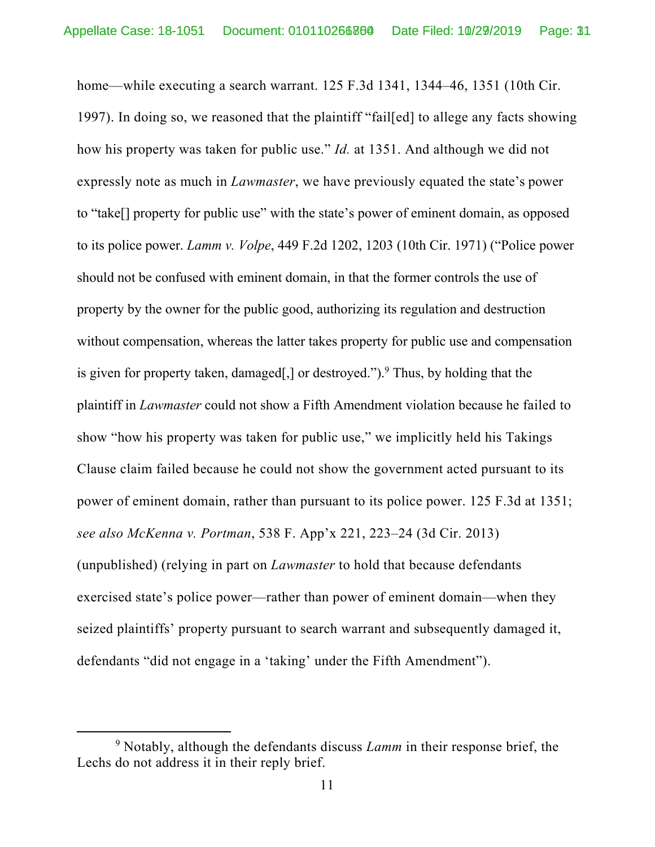home—while executing a search warrant. 125 F.3d 1341, 1344–46, 1351 (10th Cir. 1997). In doing so, we reasoned that the plaintiff "fail[ed] to allege any facts showing how his property was taken for public use." *Id.* at 1351. And although we did not expressly note as much in *Lawmaster*, we have previously equated the state's power to "take[] property for public use" with the state's power of eminent domain, as opposed to its police power. *Lamm v. Volpe*, 449 F.2d 1202, 1203 (10th Cir. 1971) ("Police power should not be confused with eminent domain, in that the former controls the use of property by the owner for the public good, authorizing its regulation and destruction without compensation, whereas the latter takes property for public use and compensation is given for property taken, damaged[,] or destroyed."). <sup>9</sup> Thus, by holding that the plaintiff in *Lawmaster* could not show a Fifth Amendment violation because he failed to show "how his property was taken for public use," we implicitly held his Takings Clause claim failed because he could not show the government acted pursuant to its power of eminent domain, rather than pursuant to its police power. 125 F.3d at 1351; *see also McKenna v. Portman*, 538 F. App'x 221, 223–24 (3d Cir. 2013) (unpublished) (relying in part on *Lawmaster* to hold that because defendants exercised state's police power—rather than power of eminent domain—when they seized plaintiffs' property pursuant to search warrant and subsequently damaged it, defendants "did not engage in a 'taking' under the Fifth Amendment").

 $\overline{9}$ <sup>9</sup> Notably, although the defendants discuss *Lamm* in their response brief, the Lechs do not address it in their reply brief.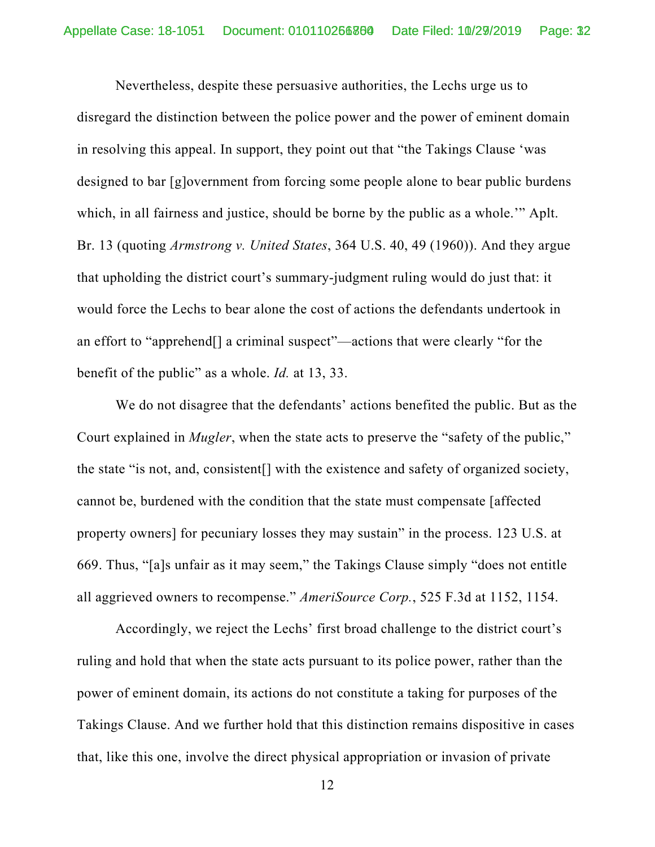Nevertheless, despite these persuasive authorities, the Lechs urge us to disregard the distinction between the police power and the power of eminent domain in resolving this appeal. In support, they point out that "the Takings Clause 'was designed to bar [g]overnment from forcing some people alone to bear public burdens which, in all fairness and justice, should be borne by the public as a whole.'" Aplt. Br. 13 (quoting *Armstrong v. United States*, 364 U.S. 40, 49 (1960)). And they argue that upholding the district court's summary-judgment ruling would do just that: it would force the Lechs to bear alone the cost of actions the defendants undertook in an effort to "apprehend[] a criminal suspect"—actions that were clearly "for the benefit of the public" as a whole. *Id.* at 13, 33.

 We do not disagree that the defendants' actions benefited the public. But as the Court explained in *Mugler*, when the state acts to preserve the "safety of the public," the state "is not, and, consistent[] with the existence and safety of organized society, cannot be, burdened with the condition that the state must compensate [affected property owners] for pecuniary losses they may sustain" in the process. 123 U.S. at 669. Thus, "[a]s unfair as it may seem," the Takings Clause simply "does not entitle all aggrieved owners to recompense." *AmeriSource Corp.*, 525 F.3d at 1152, 1154.

 Accordingly, we reject the Lechs' first broad challenge to the district court's ruling and hold that when the state acts pursuant to its police power, rather than the power of eminent domain, its actions do not constitute a taking for purposes of the Takings Clause. And we further hold that this distinction remains dispositive in cases that, like this one, involve the direct physical appropriation or invasion of private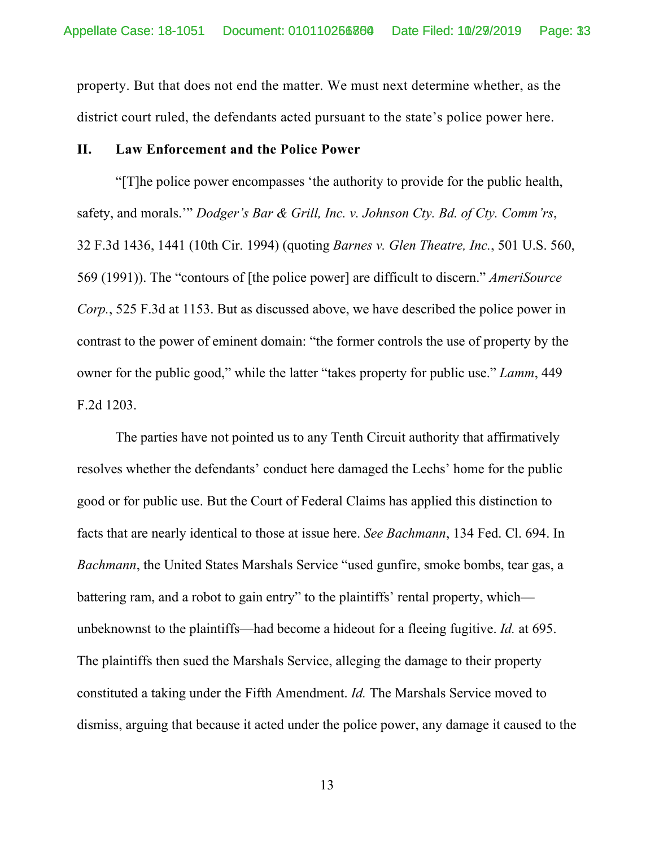property. But that does not end the matter. We must next determine whether, as the district court ruled, the defendants acted pursuant to the state's police power here.

#### **II. Law Enforcement and the Police Power**

"[T]he police power encompasses 'the authority to provide for the public health, safety, and morals.'" *Dodger's Bar & Grill, Inc. v. Johnson Cty. Bd. of Cty. Comm'rs*, 32 F.3d 1436, 1441 (10th Cir. 1994) (quoting *Barnes v. Glen Theatre, Inc.*, 501 U.S. 560, 569 (1991)). The "contours of [the police power] are difficult to discern." *AmeriSource Corp.*, 525 F.3d at 1153. But as discussed above, we have described the police power in contrast to the power of eminent domain: "the former controls the use of property by the owner for the public good," while the latter "takes property for public use." *Lamm*, 449 F.2d 1203.

The parties have not pointed us to any Tenth Circuit authority that affirmatively resolves whether the defendants' conduct here damaged the Lechs' home for the public good or for public use. But the Court of Federal Claims has applied this distinction to facts that are nearly identical to those at issue here. *See Bachmann*, 134 Fed. Cl. 694. In *Bachmann*, the United States Marshals Service "used gunfire, smoke bombs, tear gas, a battering ram, and a robot to gain entry" to the plaintiffs' rental property, which unbeknownst to the plaintiffs—had become a hideout for a fleeing fugitive. *Id.* at 695. The plaintiffs then sued the Marshals Service, alleging the damage to their property constituted a taking under the Fifth Amendment. *Id.* The Marshals Service moved to dismiss, arguing that because it acted under the police power, any damage it caused to the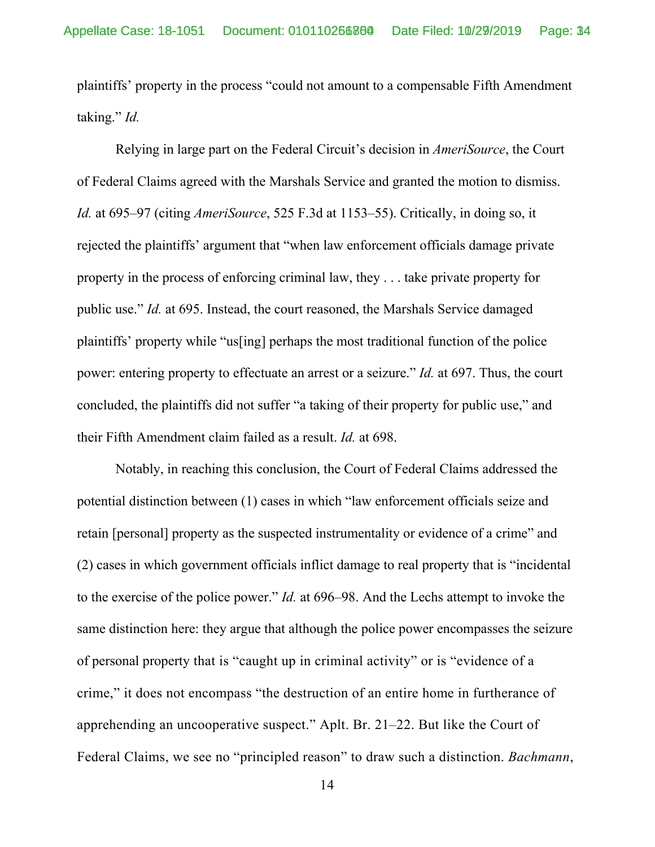plaintiffs' property in the process "could not amount to a compensable Fifth Amendment taking." *Id.* 

Relying in large part on the Federal Circuit's decision in *AmeriSource*, the Court of Federal Claims agreed with the Marshals Service and granted the motion to dismiss. *Id.* at 695–97 (citing *AmeriSource*, 525 F.3d at 1153–55). Critically, in doing so, it rejected the plaintiffs' argument that "when law enforcement officials damage private property in the process of enforcing criminal law, they . . . take private property for public use." *Id.* at 695. Instead, the court reasoned, the Marshals Service damaged plaintiffs' property while "us[ing] perhaps the most traditional function of the police power: entering property to effectuate an arrest or a seizure." *Id.* at 697. Thus, the court concluded, the plaintiffs did not suffer "a taking of their property for public use," and their Fifth Amendment claim failed as a result. *Id.* at 698.

 Notably, in reaching this conclusion, the Court of Federal Claims addressed the potential distinction between (1) cases in which "law enforcement officials seize and retain [personal] property as the suspected instrumentality or evidence of a crime" and (2) cases in which government officials inflict damage to real property that is "incidental to the exercise of the police power." *Id.* at 696–98. And the Lechs attempt to invoke the same distinction here: they argue that although the police power encompasses the seizure of personal property that is "caught up in criminal activity" or is "evidence of a crime," it does not encompass "the destruction of an entire home in furtherance of apprehending an uncooperative suspect." Aplt. Br. 21–22. But like the Court of Federal Claims, we see no "principled reason" to draw such a distinction. *Bachmann*,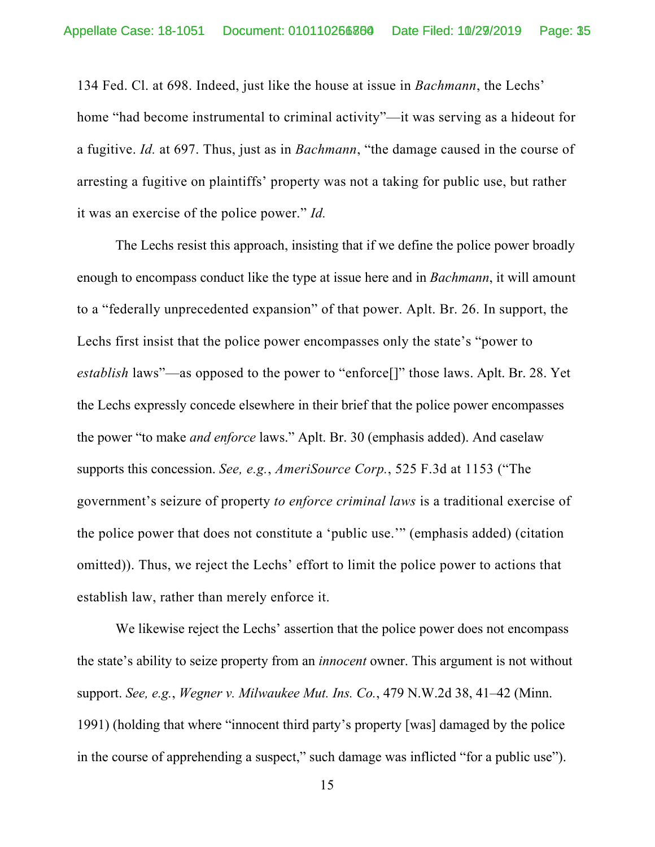134 Fed. Cl. at 698. Indeed, just like the house at issue in *Bachmann*, the Lechs' home "had become instrumental to criminal activity"—it was serving as a hideout for a fugitive. *Id.* at 697. Thus, just as in *Bachmann*, "the damage caused in the course of arresting a fugitive on plaintiffs' property was not a taking for public use, but rather it was an exercise of the police power." *Id.* 

 The Lechs resist this approach, insisting that if we define the police power broadly enough to encompass conduct like the type at issue here and in *Bachmann*, it will amount to a "federally unprecedented expansion" of that power. Aplt. Br. 26. In support, the Lechs first insist that the police power encompasses only the state's "power to *establish* laws"—as opposed to the power to "enforce[]" those laws. Aplt. Br. 28. Yet the Lechs expressly concede elsewhere in their brief that the police power encompasses the power "to make *and enforce* laws." Aplt. Br. 30 (emphasis added). And caselaw supports this concession. *See, e.g.*, *AmeriSource Corp.*, 525 F.3d at 1153 ("The government's seizure of property *to enforce criminal laws* is a traditional exercise of the police power that does not constitute a 'public use.'" (emphasis added) (citation omitted)). Thus, we reject the Lechs' effort to limit the police power to actions that establish law, rather than merely enforce it.

 We likewise reject the Lechs' assertion that the police power does not encompass the state's ability to seize property from an *innocent* owner. This argument is not without support. *See, e.g.*, *Wegner v. Milwaukee Mut. Ins. Co.*, 479 N.W.2d 38, 41–42 (Minn. 1991) (holding that where "innocent third party's property [was] damaged by the police in the course of apprehending a suspect," such damage was inflicted "for a public use").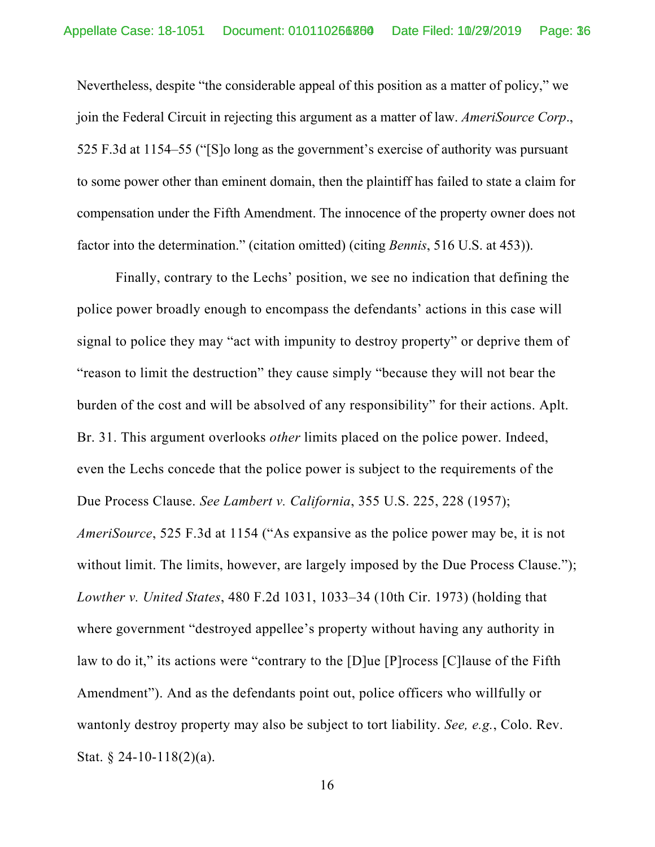Nevertheless, despite "the considerable appeal of this position as a matter of policy," we join the Federal Circuit in rejecting this argument as a matter of law. *AmeriSource Corp*., 525 F.3d at 1154–55 ("[S]o long as the government's exercise of authority was pursuant to some power other than eminent domain, then the plaintiff has failed to state a claim for compensation under the Fifth Amendment. The innocence of the property owner does not factor into the determination." (citation omitted) (citing *Bennis*, 516 U.S. at 453)).

Finally, contrary to the Lechs' position, we see no indication that defining the police power broadly enough to encompass the defendants' actions in this case will signal to police they may "act with impunity to destroy property" or deprive them of "reason to limit the destruction" they cause simply "because they will not bear the burden of the cost and will be absolved of any responsibility" for their actions. Aplt. Br. 31. This argument overlooks *other* limits placed on the police power. Indeed, even the Lechs concede that the police power is subject to the requirements of the Due Process Clause. *See Lambert v. California*, 355 U.S. 225, 228 (1957); *AmeriSource*, 525 F.3d at 1154 ("As expansive as the police power may be, it is not without limit. The limits, however, are largely imposed by the Due Process Clause."); *Lowther v. United States*, 480 F.2d 1031, 1033–34 (10th Cir. 1973) (holding that where government "destroyed appellee's property without having any authority in law to do it," its actions were "contrary to the [D]ue [P]rocess [C] lause of the Fifth Amendment"). And as the defendants point out, police officers who willfully or wantonly destroy property may also be subject to tort liability. *See, e.g.*, Colo. Rev. Stat. § 24-10-118(2)(a).